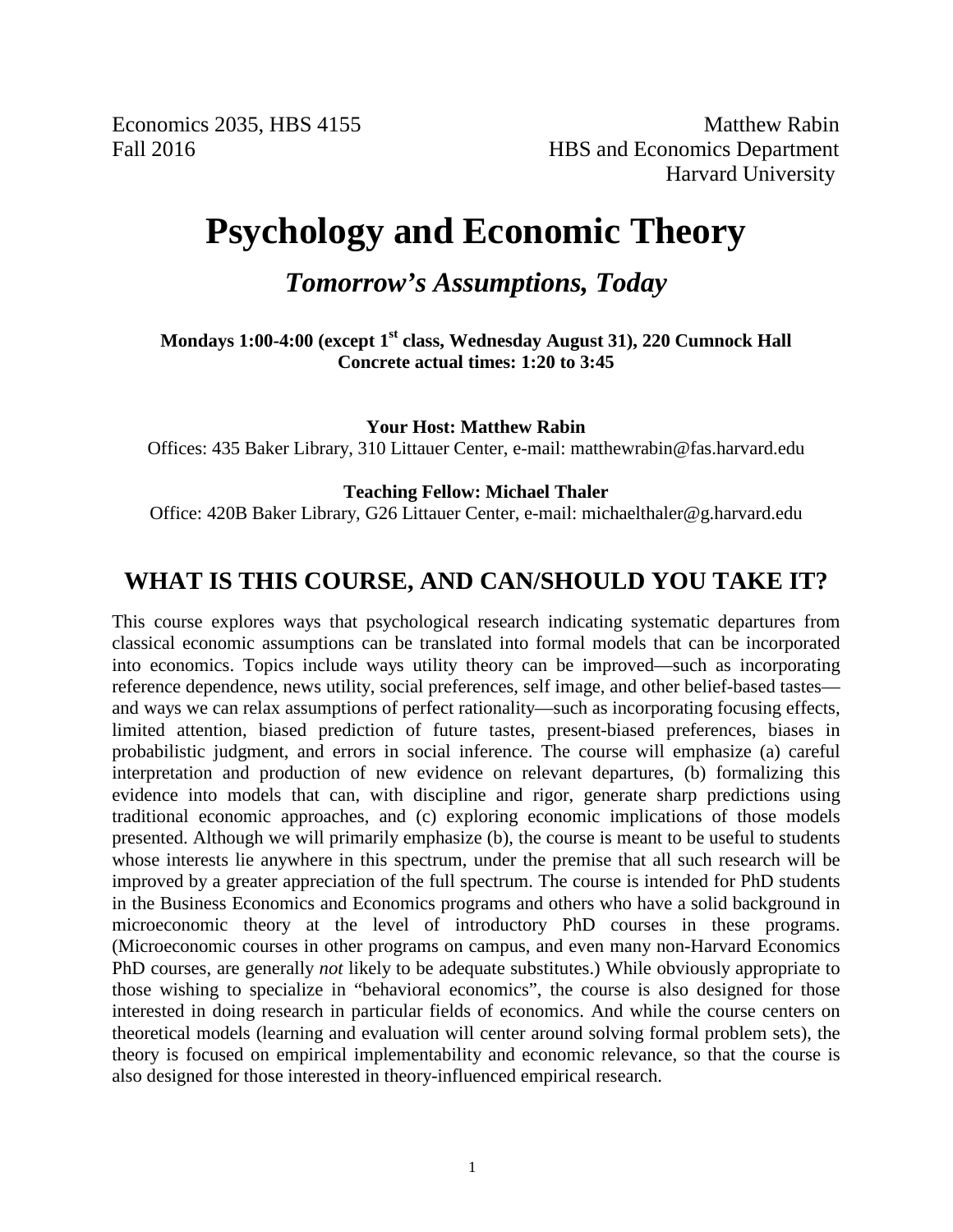Economics 2035, HBS 4155 Matthew Rabin Fall 2016 HBS and Economics Department Harvard University

## **Psychology and Economic Theory**

*Tomorrow's Assumptions, Today*

**Mondays 1:00-4:00 (except 1st class, Wednesday August 31), 220 Cumnock Hall Concrete actual times: 1:20 to 3:45**

**Your Host: Matthew Rabin**

Offices: 435 Baker Library, 310 Littauer Center, e-mail: matthewrabin@fas.harvard.edu

#### **Teaching Fellow: Michael Thaler**

Office: 420B Baker Library, G26 Littauer Center, e-mail: michaelthaler@g.harvard.edu

### **WHAT IS THIS COURSE, AND CAN/SHOULD YOU TAKE IT?**

This course explores ways that psychological research indicating systematic departures from classical economic assumptions can be translated into formal models that can be incorporated into economics. Topics include ways utility theory can be improved—such as incorporating reference dependence, news utility, social preferences, self image, and other belief-based tastes and ways we can relax assumptions of perfect rationality—such as incorporating focusing effects, limited attention, biased prediction of future tastes, present-biased preferences, biases in probabilistic judgment, and errors in social inference. The course will emphasize (a) careful interpretation and production of new evidence on relevant departures, (b) formalizing this evidence into models that can, with discipline and rigor, generate sharp predictions using traditional economic approaches, and (c) exploring economic implications of those models presented. Although we will primarily emphasize (b), the course is meant to be useful to students whose interests lie anywhere in this spectrum, under the premise that all such research will be improved by a greater appreciation of the full spectrum. The course is intended for PhD students in the Business Economics and Economics programs and others who have a solid background in microeconomic theory at the level of introductory PhD courses in these programs. (Microeconomic courses in other programs on campus, and even many non-Harvard Economics PhD courses, are generally *not* likely to be adequate substitutes.) While obviously appropriate to those wishing to specialize in "behavioral economics", the course is also designed for those interested in doing research in particular fields of economics. And while the course centers on theoretical models (learning and evaluation will center around solving formal problem sets), the theory is focused on empirical implementability and economic relevance, so that the course is also designed for those interested in theory-influenced empirical research.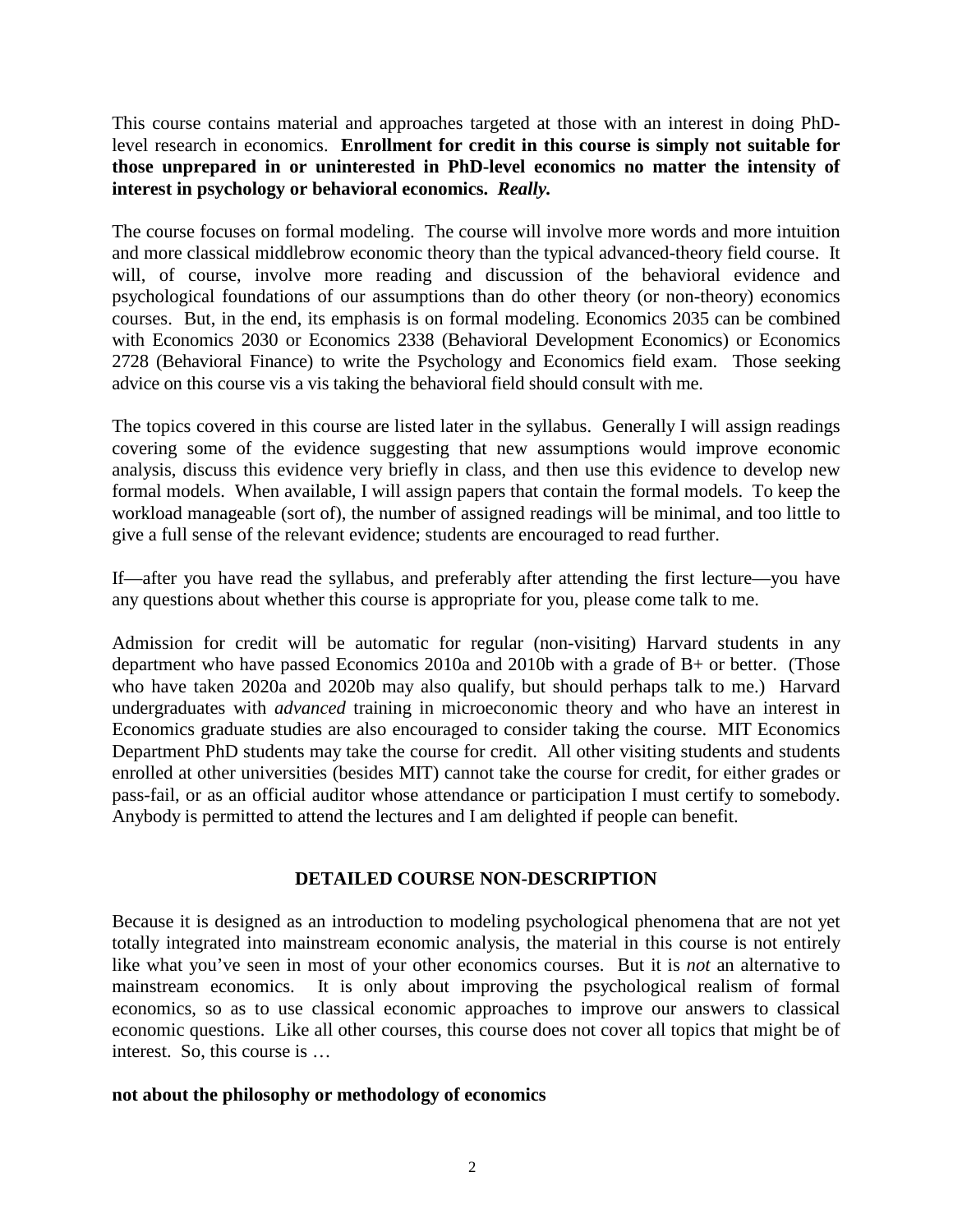This course contains material and approaches targeted at those with an interest in doing PhDlevel research in economics. **Enrollment for credit in this course is simply not suitable for those unprepared in or uninterested in PhD-level economics no matter the intensity of interest in psychology or behavioral economics.** *Really.*

The course focuses on formal modeling. The course will involve more words and more intuition and more classical middlebrow economic theory than the typical advanced-theory field course. It will, of course, involve more reading and discussion of the behavioral evidence and psychological foundations of our assumptions than do other theory (or non-theory) economics courses. But, in the end, its emphasis is on formal modeling. Economics 2035 can be combined with Economics 2030 or Economics 2338 (Behavioral Development Economics) or Economics 2728 (Behavioral Finance) to write the Psychology and Economics field exam. Those seeking advice on this course vis a vis taking the behavioral field should consult with me.

The topics covered in this course are listed later in the syllabus. Generally I will assign readings covering some of the evidence suggesting that new assumptions would improve economic analysis, discuss this evidence very briefly in class, and then use this evidence to develop new formal models. When available, I will assign papers that contain the formal models. To keep the workload manageable (sort of), the number of assigned readings will be minimal, and too little to give a full sense of the relevant evidence; students are encouraged to read further.

If—after you have read the syllabus, and preferably after attending the first lecture—you have any questions about whether this course is appropriate for you, please come talk to me.

Admission for credit will be automatic for regular (non-visiting) Harvard students in any department who have passed Economics 2010a and 2010b with a grade of B+ or better. (Those who have taken 2020a and 2020b may also qualify, but should perhaps talk to me.) Harvard undergraduates with *advanced* training in microeconomic theory and who have an interest in Economics graduate studies are also encouraged to consider taking the course. MIT Economics Department PhD students may take the course for credit. All other visiting students and students enrolled at other universities (besides MIT) cannot take the course for credit, for either grades or pass-fail, or as an official auditor whose attendance or participation I must certify to somebody. Anybody is permitted to attend the lectures and I am delighted if people can benefit.

#### **DETAILED COURSE NON-DESCRIPTION**

Because it is designed as an introduction to modeling psychological phenomena that are not yet totally integrated into mainstream economic analysis, the material in this course is not entirely like what you've seen in most of your other economics courses. But it is *not* an alternative to mainstream economics. It is only about improving the psychological realism of formal economics, so as to use classical economic approaches to improve our answers to classical economic questions. Like all other courses, this course does not cover all topics that might be of interest. So, this course is …

#### **not about the philosophy or methodology of economics**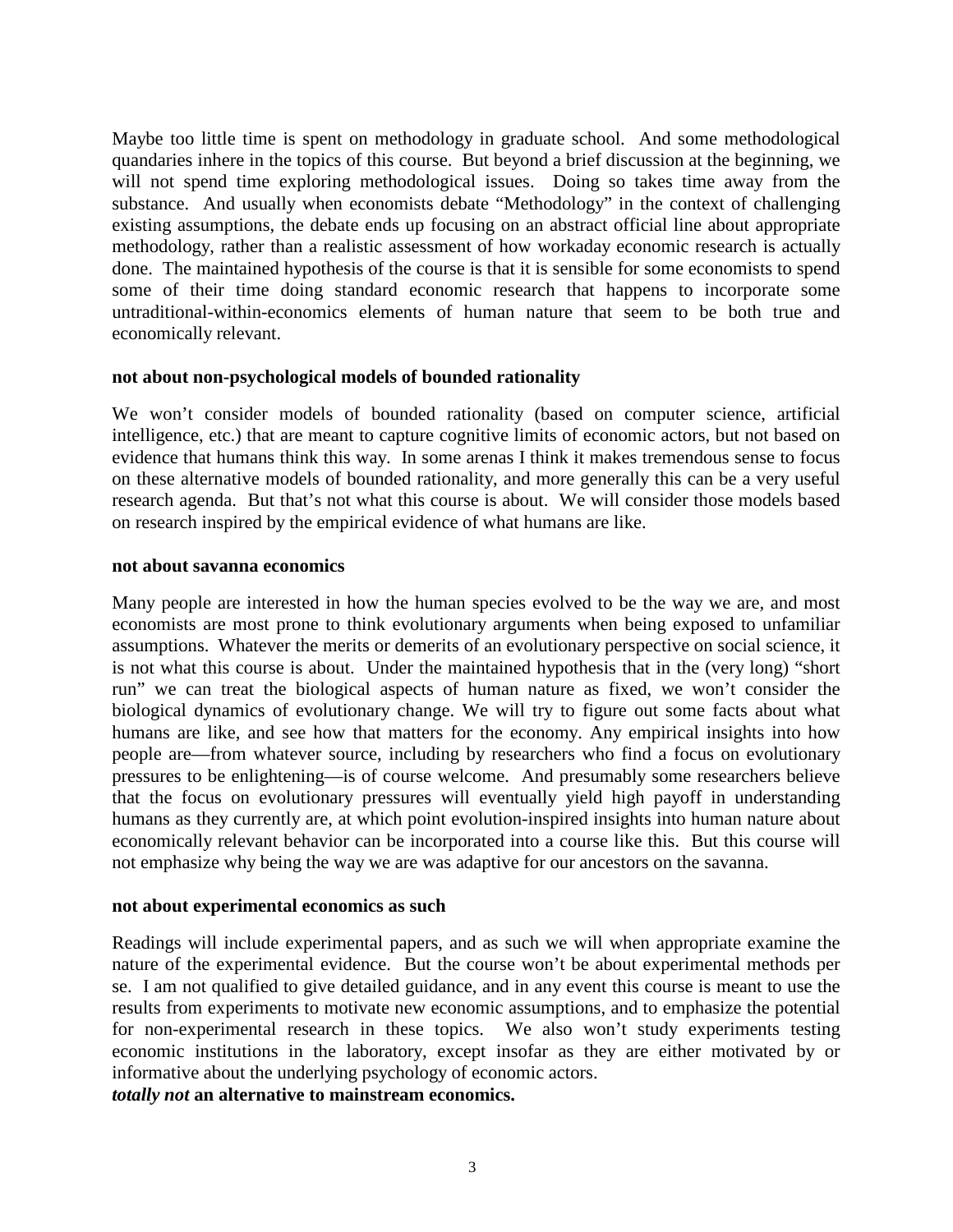Maybe too little time is spent on methodology in graduate school. And some methodological quandaries inhere in the topics of this course. But beyond a brief discussion at the beginning, we will not spend time exploring methodological issues. Doing so takes time away from the substance. And usually when economists debate "Methodology" in the context of challenging existing assumptions, the debate ends up focusing on an abstract official line about appropriate methodology, rather than a realistic assessment of how workaday economic research is actually done. The maintained hypothesis of the course is that it is sensible for some economists to spend some of their time doing standard economic research that happens to incorporate some untraditional-within-economics elements of human nature that seem to be both true and economically relevant.

#### **not about non-psychological models of bounded rationality**

We won't consider models of bounded rationality (based on computer science, artificial intelligence, etc.) that are meant to capture cognitive limits of economic actors, but not based on evidence that humans think this way. In some arenas I think it makes tremendous sense to focus on these alternative models of bounded rationality, and more generally this can be a very useful research agenda. But that's not what this course is about. We will consider those models based on research inspired by the empirical evidence of what humans are like.

#### **not about savanna economics**

Many people are interested in how the human species evolved to be the way we are, and most economists are most prone to think evolutionary arguments when being exposed to unfamiliar assumptions. Whatever the merits or demerits of an evolutionary perspective on social science, it is not what this course is about. Under the maintained hypothesis that in the (very long) "short run" we can treat the biological aspects of human nature as fixed, we won't consider the biological dynamics of evolutionary change. We will try to figure out some facts about what humans are like, and see how that matters for the economy. Any empirical insights into how people are—from whatever source, including by researchers who find a focus on evolutionary pressures to be enlightening—is of course welcome. And presumably some researchers believe that the focus on evolutionary pressures will eventually yield high payoff in understanding humans as they currently are, at which point evolution-inspired insights into human nature about economically relevant behavior can be incorporated into a course like this. But this course will not emphasize why being the way we are was adaptive for our ancestors on the savanna.

#### **not about experimental economics as such**

Readings will include experimental papers, and as such we will when appropriate examine the nature of the experimental evidence. But the course won't be about experimental methods per se. I am not qualified to give detailed guidance, and in any event this course is meant to use the results from experiments to motivate new economic assumptions, and to emphasize the potential for non-experimental research in these topics. We also won't study experiments testing economic institutions in the laboratory, except insofar as they are either motivated by or informative about the underlying psychology of economic actors. *totally not* **an alternative to mainstream economics.**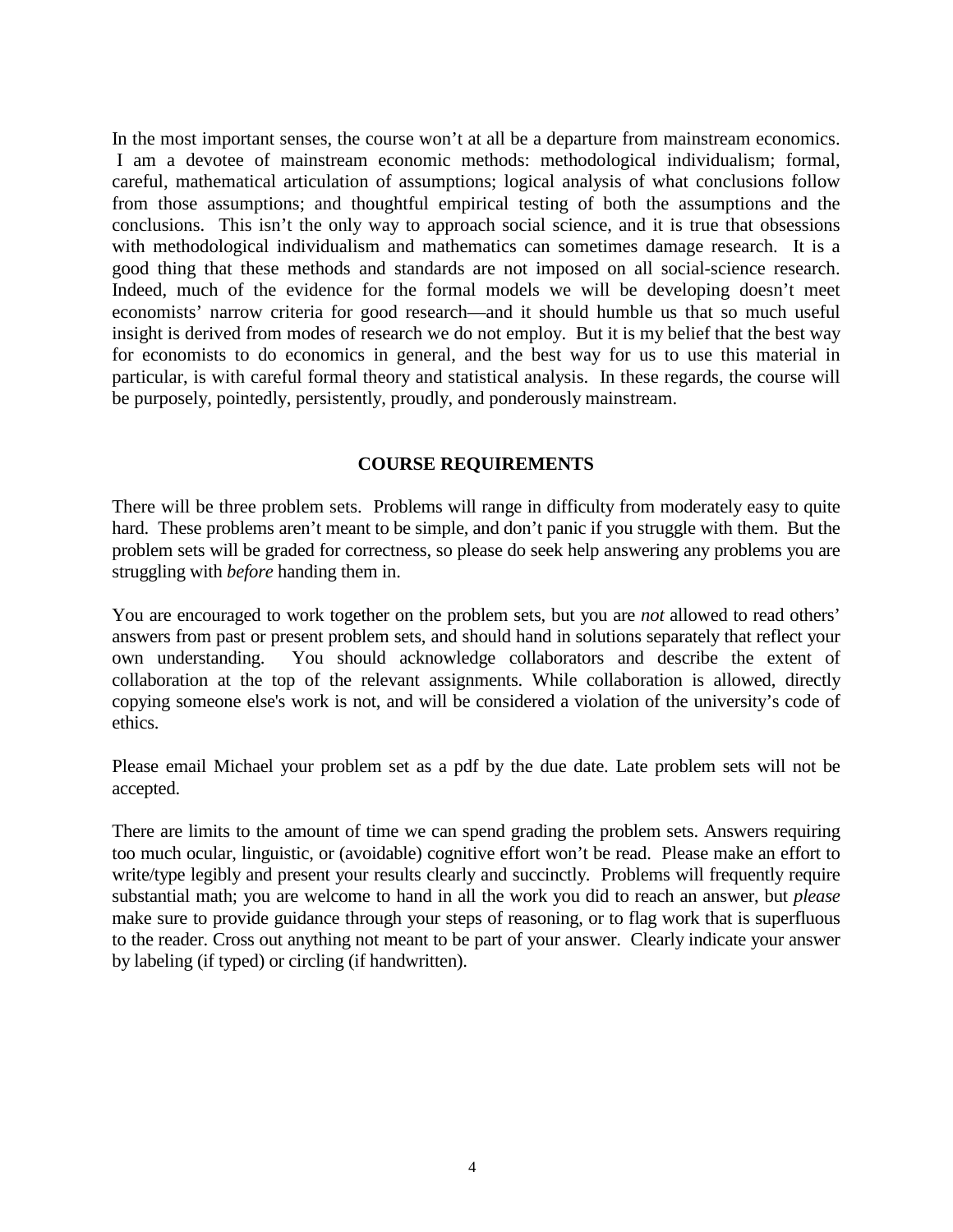In the most important senses, the course won't at all be a departure from mainstream economics. I am a devotee of mainstream economic methods: methodological individualism; formal, careful, mathematical articulation of assumptions; logical analysis of what conclusions follow from those assumptions; and thoughtful empirical testing of both the assumptions and the conclusions. This isn't the only way to approach social science, and it is true that obsessions with methodological individualism and mathematics can sometimes damage research. It is a good thing that these methods and standards are not imposed on all social-science research. Indeed, much of the evidence for the formal models we will be developing doesn't meet economists' narrow criteria for good research—and it should humble us that so much useful insight is derived from modes of research we do not employ. But it is my belief that the best way for economists to do economics in general, and the best way for us to use this material in particular, is with careful formal theory and statistical analysis. In these regards, the course will be purposely, pointedly, persistently, proudly, and ponderously mainstream.

#### **COURSE REQUIREMENTS**

There will be three problem sets. Problems will range in difficulty from moderately easy to quite hard. These problems aren't meant to be simple, and don't panic if you struggle with them. But the problem sets will be graded for correctness, so please do seek help answering any problems you are struggling with *before* handing them in.

You are encouraged to work together on the problem sets, but you are *not* allowed to read others' answers from past or present problem sets, and should hand in solutions separately that reflect your own understanding. You should acknowledge collaborators and describe the extent of collaboration at the top of the relevant assignments. While collaboration is allowed, directly copying someone else's work is not, and will be considered a violation of the university's code of ethics.

Please email Michael your problem set as a pdf by the due date. Late problem sets will not be accepted.

There are limits to the amount of time we can spend grading the problem sets. Answers requiring too much ocular, linguistic, or (avoidable) cognitive effort won't be read. Please make an effort to write/type legibly and present your results clearly and succinctly. Problems will frequently require substantial math; you are welcome to hand in all the work you did to reach an answer, but *please* make sure to provide guidance through your steps of reasoning, or to flag work that is superfluous to the reader. Cross out anything not meant to be part of your answer. Clearly indicate your answer by labeling (if typed) or circling (if handwritten).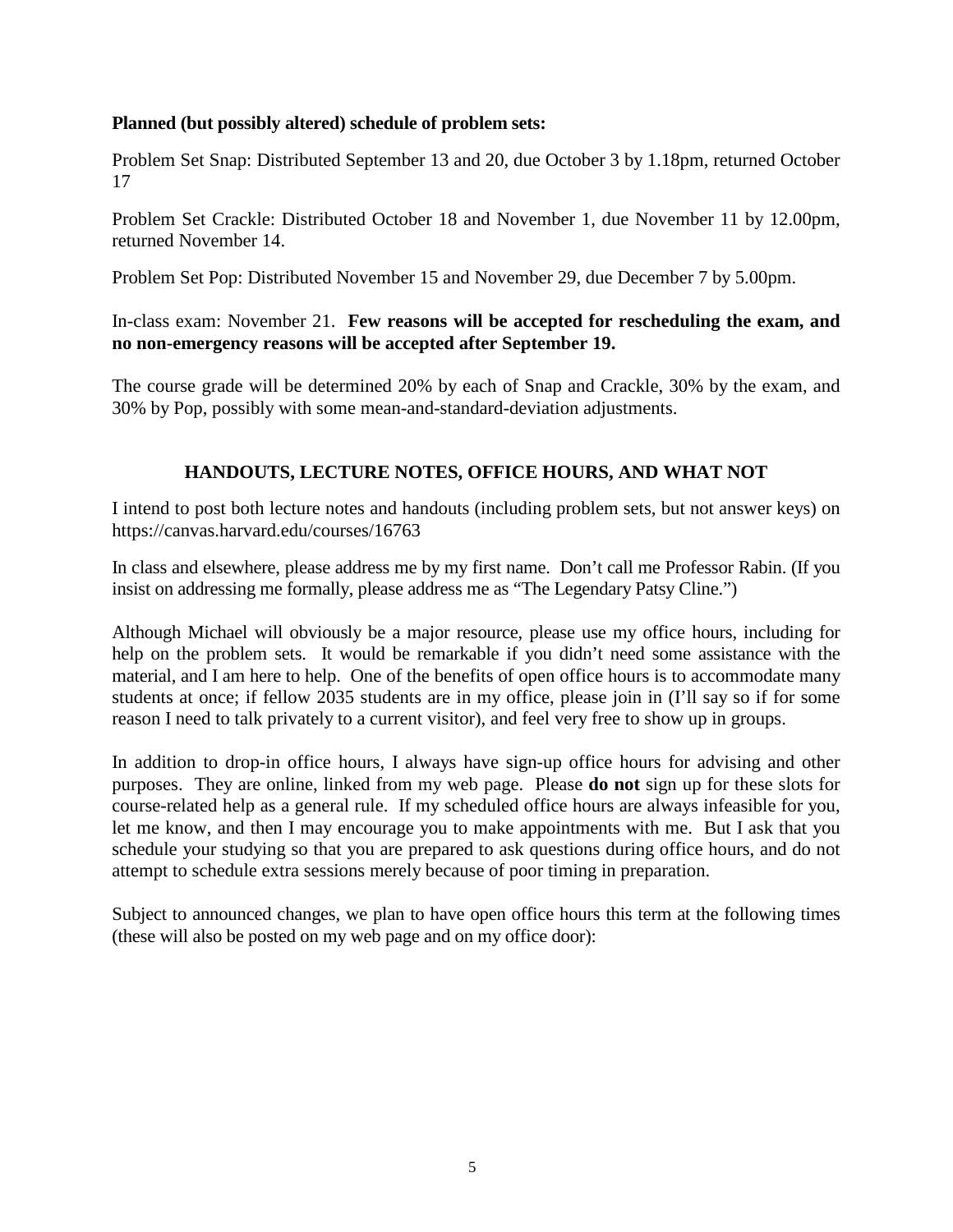#### **Planned (but possibly altered) schedule of problem sets:**

Problem Set Snap: Distributed September 13 and 20, due October 3 by 1.18pm, returned October 17

Problem Set Crackle: Distributed October 18 and November 1, due November 11 by 12.00pm, returned November 14.

Problem Set Pop: Distributed November 15 and November 29, due December 7 by 5.00pm.

In-class exam: November 21. **Few reasons will be accepted for rescheduling the exam, and no non-emergency reasons will be accepted after September 19.**

The course grade will be determined 20% by each of Snap and Crackle, 30% by the exam, and 30% by Pop, possibly with some mean-and-standard-deviation adjustments.

#### **HANDOUTS, LECTURE NOTES, OFFICE HOURS, AND WHAT NOT**

I intend to post both lecture notes and handouts (including problem sets, but not answer keys) on [https://canvas.harvard.edu/courses/1](https://canvas.harvard.edu/courses/6588)6763

In class and elsewhere, please address me by my first name. Don't call me Professor Rabin. (If you insist on addressing me formally, please address me as "The Legendary Patsy Cline.")

Although Michael will obviously be a major resource, please use my office hours, including for help on the problem sets. It would be remarkable if you didn't need some assistance with the material, and I am here to help. One of the benefits of open office hours is to accommodate many students at once; if fellow 2035 students are in my office, please join in (I'll say so if for some reason I need to talk privately to a current visitor), and feel very free to show up in groups.

In addition to drop-in office hours, I always have sign-up office hours for advising and other purposes. They are online, linked from my web page. Please **do not** sign up for these slots for course-related help as a general rule. If my scheduled office hours are always infeasible for you, let me know, and then I may encourage you to make appointments with me. But I ask that you schedule your studying so that you are prepared to ask questions during office hours, and do not attempt to schedule extra sessions merely because of poor timing in preparation.

Subject to announced changes, we plan to have open office hours this term at the following times (these will also be posted on my web page and on my office door):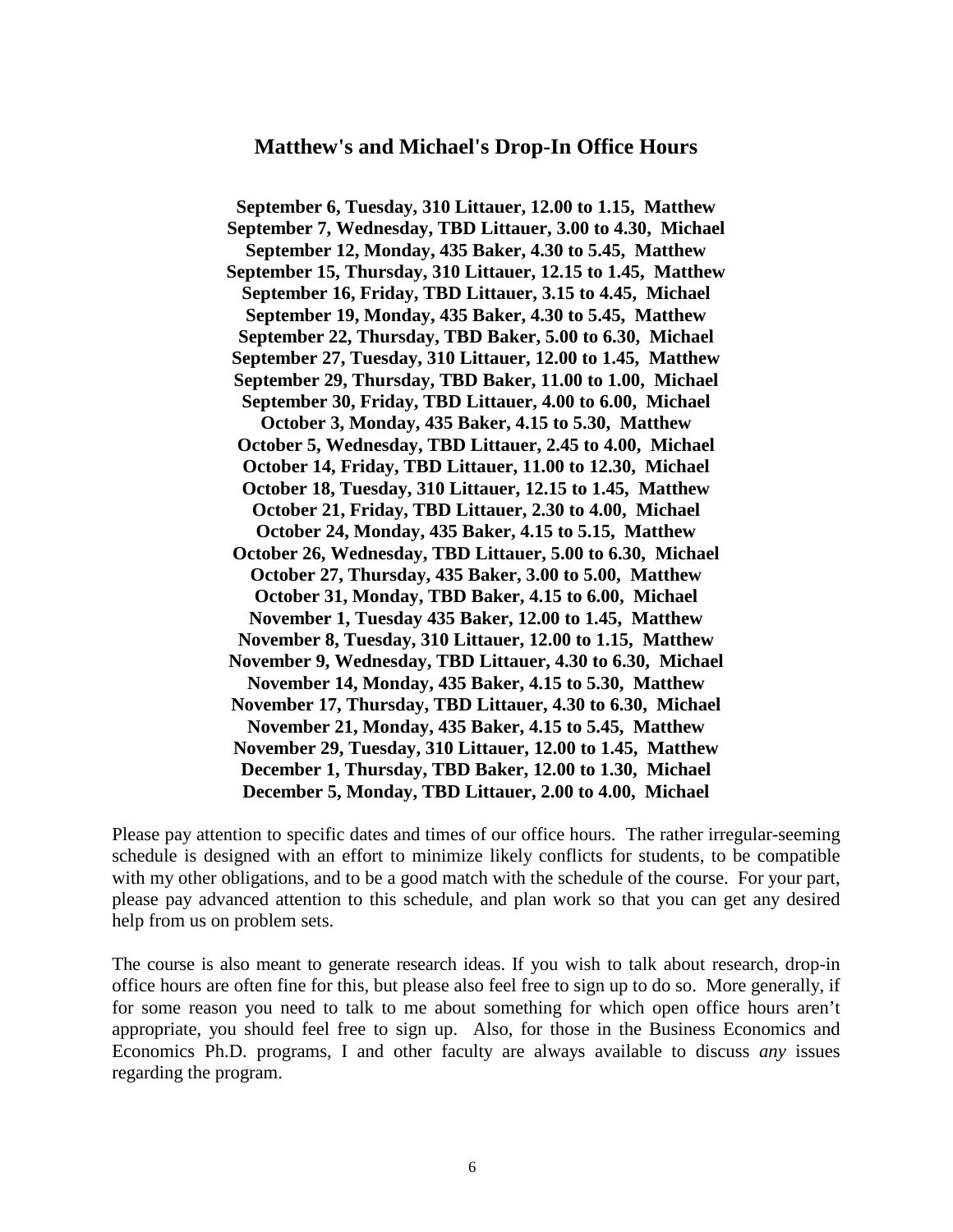#### **Matthew's and Michael's Drop-In Office Hours**

**September 6, Tuesday, 310 Littauer, 12.00 to 1.15, Matthew September 7, Wednesday, TBD Littauer, 3.00 to 4.30, Michael September 12, Monday, 435 Baker, 4.30 to 5.45, Matthew September 15, Thursday, 310 Littauer, 12.15 to 1.45, Matthew September 16, Friday, TBD Littauer, 3.15 to 4.45, Michael September 19, Monday, 435 Baker, 4.30 to 5.45, Matthew September 22, Thursday, TBD Baker, 5.00 to 6.30, Michael September 27, Tuesday, 310 Littauer, 12.00 to 1.45, Matthew September 29, Thursday, TBD Baker, 11.00 to 1.00, Michael September 30, Friday, TBD Littauer, 4.00 to 6.00, Michael October 3, Monday, 435 Baker, 4.15 to 5.30, Matthew October 5, Wednesday, TBD Littauer, 2.45 to 4.00, Michael October 14, Friday, TBD Littauer, 11.00 to 12.30, Michael October 18, Tuesday, 310 Littauer, 12.15 to 1.45, Matthew October 21, Friday, TBD Littauer, 2.30 to 4.00, Michael October 24, Monday, 435 Baker, 4.15 to 5.15, Matthew October 26, Wednesday, TBD Littauer, 5.00 to 6.30, Michael October 27, Thursday, 435 Baker, 3.00 to 5.00, Matthew October 31, Monday, TBD Baker, 4.15 to 6.00, Michael November 1, Tuesday 435 Baker, 12.00 to 1.45, Matthew November 8, Tuesday, 310 Littauer, 12.00 to 1.15, Matthew November 9, Wednesday, TBD Littauer, 4.30 to 6.30, Michael November 14, Monday, 435 Baker, 4.15 to 5.30, Matthew November 17, Thursday, TBD Littauer, 4.30 to 6.30, Michael November 21, Monday, 435 Baker, 4.15 to 5.45, Matthew November 29, Tuesday, 310 Littauer, 12.00 to 1.45, Matthew December 1, Thursday, TBD Baker, 12.00 to 1.30, Michael December 5, Monday, TBD Littauer, 2.00 to 4.00, Michael**

Please pay attention to specific dates and times of our office hours. The rather irregular-seeming schedule is designed with an effort to minimize likely conflicts for students, to be compatible with my other obligations, and to be a good match with the schedule of the course. For your part, please pay advanced attention to this schedule, and plan work so that you can get any desired help from us on problem sets.

The course is also meant to generate research ideas. If you wish to talk about research, drop-in office hours are often fine for this, but please also feel free to sign up to do so. More generally, if for some reason you need to talk to me about something for which open office hours aren't appropriate, you should feel free to sign up. Also, for those in the Business Economics and Economics Ph.D. programs, I and other faculty are always available to discuss *any* issues regarding the program.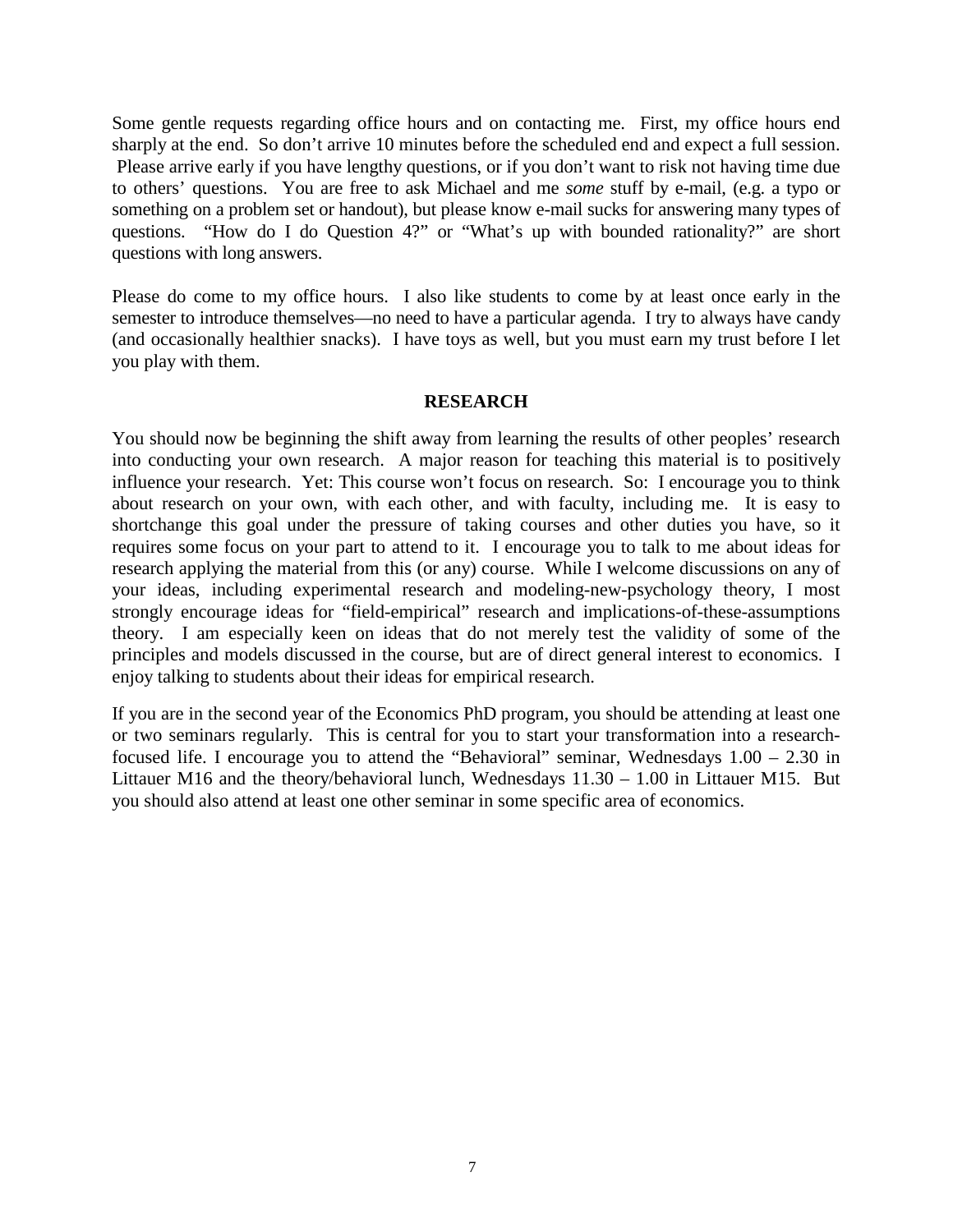Some gentle requests regarding office hours and on contacting me. First, my office hours end sharply at the end. So don't arrive 10 minutes before the scheduled end and expect a full session. Please arrive early if you have lengthy questions, or if you don't want to risk not having time due to others' questions. You are free to ask Michael and me *some* stuff by e-mail, (e.g. a typo or something on a problem set or handout), but please know e-mail sucks for answering many types of questions. "How do I do Question 4?" or "What's up with bounded rationality?" are short questions with long answers.

Please do come to my office hours. I also like students to come by at least once early in the semester to introduce themselves—no need to have a particular agenda. I try to always have candy (and occasionally healthier snacks). I have toys as well, but you must earn my trust before I let you play with them.

#### **RESEARCH**

You should now be beginning the shift away from learning the results of other peoples' research into conducting your own research. A major reason for teaching this material is to positively influence your research. Yet: This course won't focus on research. So: I encourage you to think about research on your own, with each other, and with faculty, including me. It is easy to shortchange this goal under the pressure of taking courses and other duties you have, so it requires some focus on your part to attend to it. I encourage you to talk to me about ideas for research applying the material from this (or any) course. While I welcome discussions on any of your ideas, including experimental research and modeling-new-psychology theory, I most strongly encourage ideas for "field-empirical" research and implications-of-these-assumptions theory. I am especially keen on ideas that do not merely test the validity of some of the principles and models discussed in the course, but are of direct general interest to economics. I enjoy talking to students about their ideas for empirical research.

If you are in the second year of the Economics PhD program, you should be attending at least one or two seminars regularly. This is central for you to start your transformation into a researchfocused life. I encourage you to attend the "Behavioral" seminar, Wednesdays  $1.00 - 2.30$  in Littauer M16 and the theory/behavioral lunch, Wednesdays 11.30 – 1.00 in Littauer M15. But you should also attend at least one other seminar in some specific area of economics.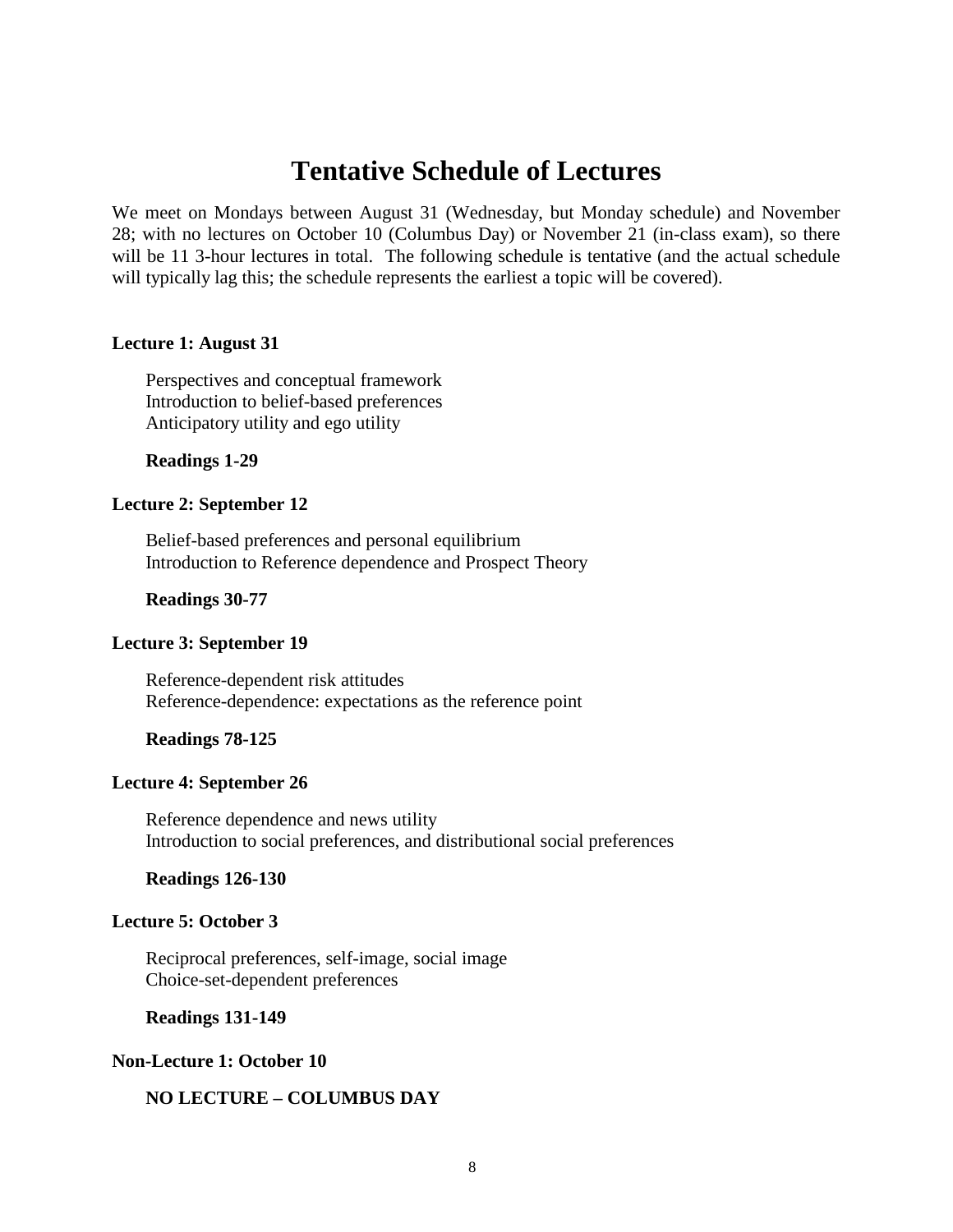## **Tentative Schedule of Lectures**

We meet on Mondays between August 31 (Wednesday, but Monday schedule) and November 28; with no lectures on October 10 (Columbus Day) or November 21 (in-class exam), so there will be 11 3-hour lectures in total. The following schedule is tentative (and the actual schedule will typically lag this; the schedule represents the earliest a topic will be covered).

#### **Lecture 1: August 31**

Perspectives and conceptual framework Introduction to belief-based preferences Anticipatory utility and ego utility

#### **Readings 1-29**

#### **Lecture 2: September 12**

Belief-based preferences and personal equilibrium Introduction to Reference dependence and Prospect Theory

#### **Readings 30-77**

#### **Lecture 3: September 19**

Reference-dependent risk attitudes Reference-dependence: expectations as the reference point

#### **Readings 78-125**

#### **Lecture 4: September 26**

Reference dependence and news utility Introduction to social preferences, and distributional social preferences

#### **Readings 126-130**

#### **Lecture 5: October 3**

Reciprocal preferences, self-image, social image Choice-set-dependent preferences

#### **Readings 131-149**

#### **Non-Lecture 1: October 10**

#### **NO LECTURE – COLUMBUS DAY**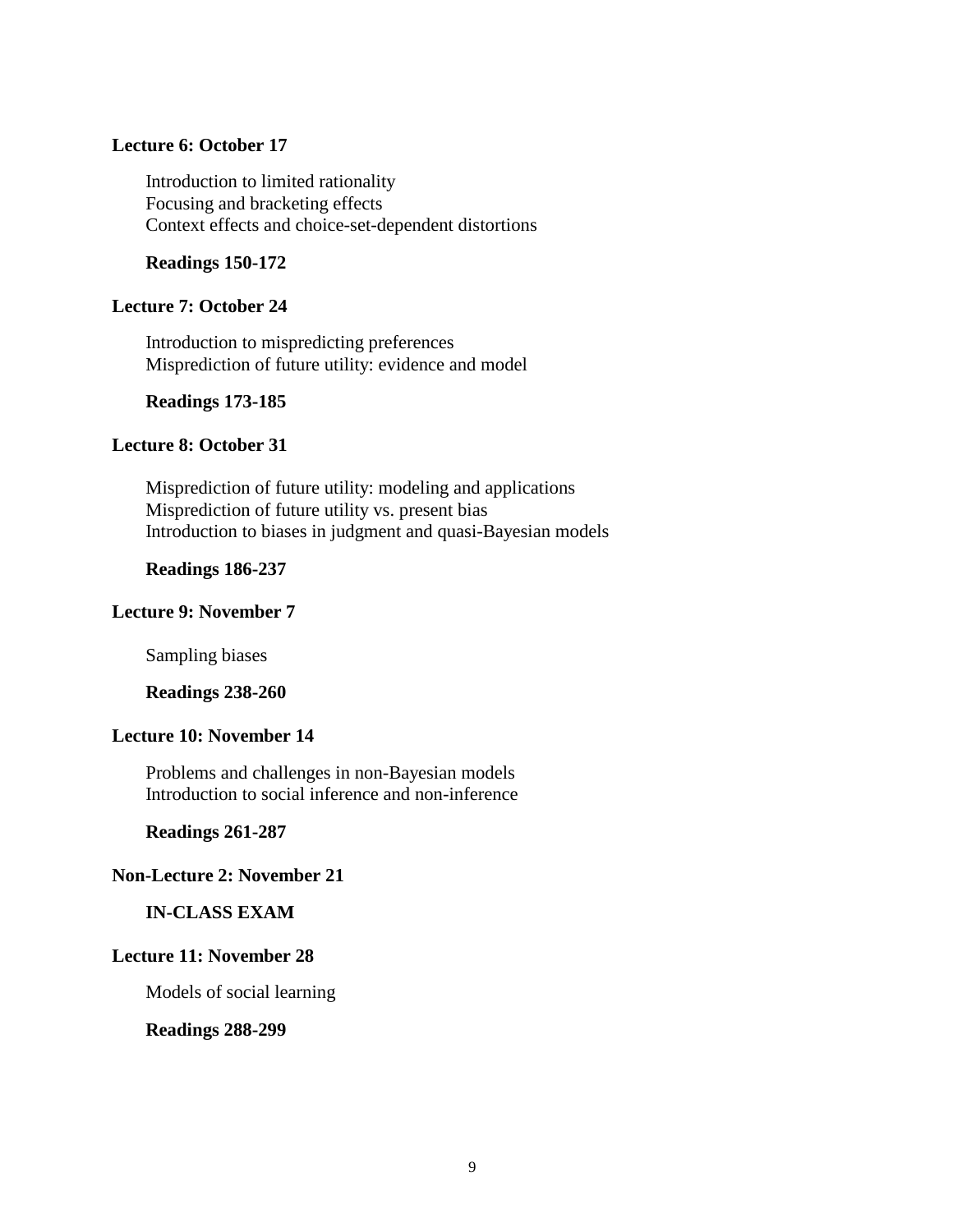#### **Lecture 6: October 17**

Introduction to limited rationality Focusing and bracketing effects Context effects and choice-set-dependent distortions

#### **Readings 150-172**

#### **Lecture 7: October 24**

Introduction to mispredicting preferences Misprediction of future utility: evidence and model

#### **Readings 173-185**

#### **Lecture 8: October 31**

Misprediction of future utility: modeling and applications Misprediction of future utility vs. present bias Introduction to biases in judgment and quasi-Bayesian models

#### **Readings 186-237**

#### **Lecture 9: November 7**

Sampling biases

**Readings 238-260**

#### **Lecture 10: November 14**

Problems and challenges in non-Bayesian models Introduction to social inference and non-inference

**Readings 261-287**

#### **Non-Lecture 2: November 21**

#### **IN-CLASS EXAM**

#### **Lecture 11: November 28**

Models of social learning

#### **Readings 288-299**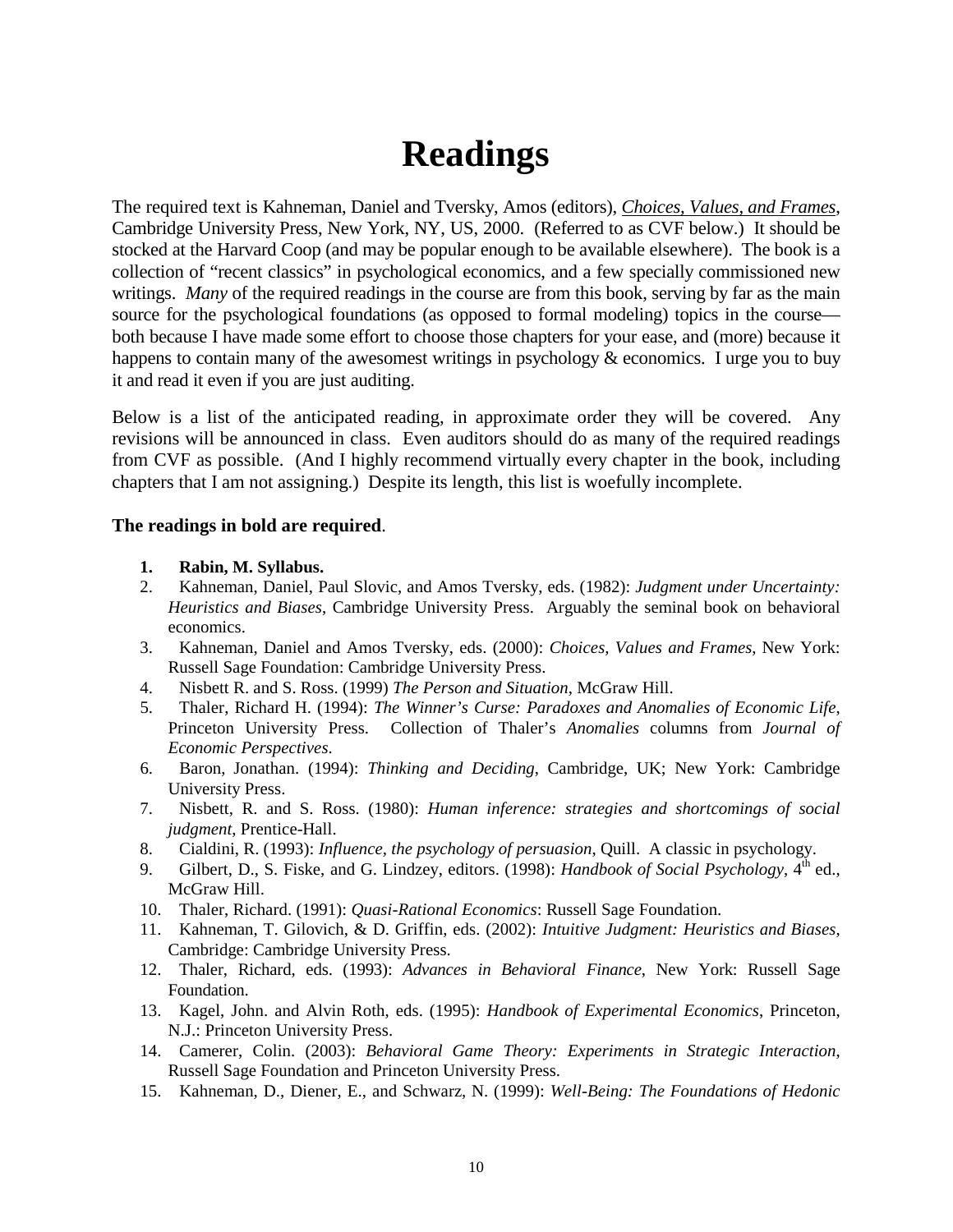# **Readings**

The required text is Kahneman, Daniel and Tversky, Amos (editors), *Choices, Values, and Frames*, Cambridge University Press, New York, NY, US, 2000. (Referred to as CVF below.) It should be stocked at the Harvard Coop (and may be popular enough to be available elsewhere). The book is a collection of "recent classics" in psychological economics, and a few specially commissioned new writings. *Many* of the required readings in the course are from this book, serving by far as the main source for the psychological foundations (as opposed to formal modeling) topics in the course both because I have made some effort to choose those chapters for your ease, and (more) because it happens to contain many of the awesomest writings in psychology & economics. I urge you to buy it and read it even if you are just auditing.

Below is a list of the anticipated reading, in approximate order they will be covered. Any revisions will be announced in class. Even auditors should do as many of the required readings from CVF as possible. (And I highly recommend virtually every chapter in the book, including chapters that I am not assigning.) Despite its length, this list is woefully incomplete.

#### **The readings in bold are required**.

#### **1. Rabin, M. Syllabus.**

- 2. Kahneman, Daniel, Paul Slovic, and Amos Tversky, eds. (1982): *Judgment under Uncertainty: Heuristics and Biases*, Cambridge University Press. Arguably the seminal book on behavioral economics.
- 3. Kahneman, Daniel and Amos Tversky, eds. (2000): *Choices, Values and Frames*, New York: Russell Sage Foundation: Cambridge University Press.
- 4. Nisbett R. and S. Ross. (1999) *The Person and Situation*, McGraw Hill.
- 5. Thaler, Richard H. (1994): *The Winner's Curse: Paradoxes and Anomalies of Economic Life*, Princeton University Press. Collection of Thaler's *Anomalies* columns from *Journal of Economic Perspectives*.
- 6. Baron, Jonathan. (1994): *Thinking and Deciding*, Cambridge, UK; New York: Cambridge University Press.
- 7. Nisbett, R. and S. Ross. (1980): *Human inference: strategies and shortcomings of social judgment*, Prentice-Hall.
- 8. Cialdini, R. (1993): *Influence, the psychology of persuasion*, Quill. A classic in psychology.
- 9. Gilbert, D., S. Fiske, and G. Lindzey, editors. (1998): *Handbook of Social Psychology*, 4<sup>th</sup> ed., McGraw Hill.
- 10. Thaler, Richard. (1991): *Quasi-Rational Economics*: Russell Sage Foundation.
- 11. Kahneman, T. Gilovich, & D. Griffin, eds. (2002): *Intuitive Judgment: Heuristics and Biases*, Cambridge: Cambridge University Press.
- 12. Thaler, Richard, eds. (1993): *Advances in Behavioral Finance*, New York: Russell Sage Foundation.
- 13. Kagel, John. and Alvin Roth, eds. (1995): *Handbook of Experimental Economics*, Princeton, N.J.: Princeton University Press.
- 14. Camerer, Colin. (2003): *Behavioral Game Theory: Experiments in Strategic Interaction*, Russell Sage Foundation and Princeton University Press.
- 15. Kahneman, D., Diener, E., and Schwarz, N. (1999): *Well-Being: The Foundations of Hedonic*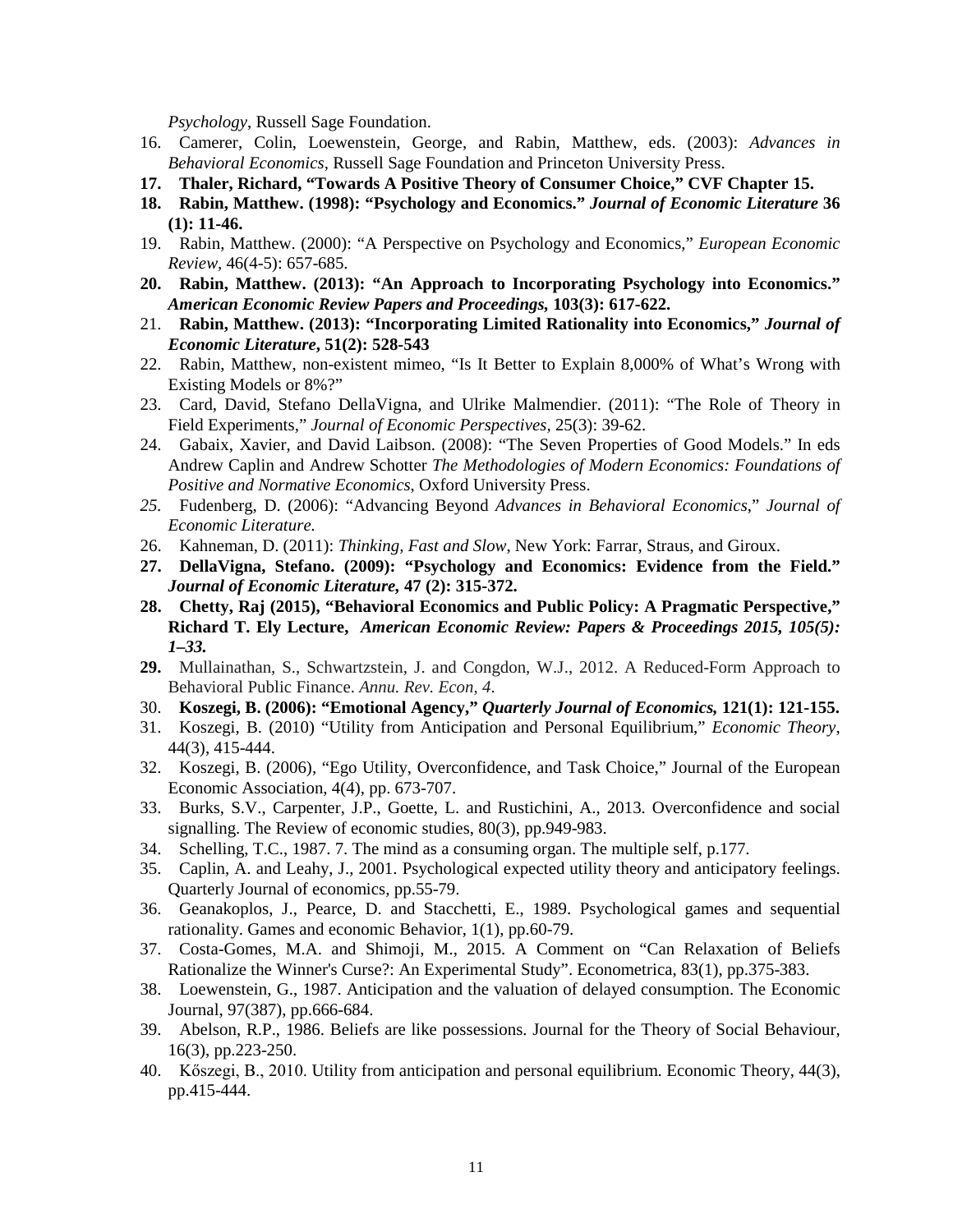*Psychology*, Russell Sage Foundation.

- 16. Camerer, Colin, Loewenstein, George, and Rabin, Matthew, eds. (2003): *Advances in Behavioral Economics*, Russell Sage Foundation and Princeton University Press.
- **17. Thaler, Richard, "Towards A Positive Theory of Consumer Choice," CVF Chapter 15.**
- **18. Rabin, Matthew. (1998): "Psychology and Economics."** *Journal of Economic Literature* **36 (1): 11-46.**
- 19. Rabin, Matthew. (2000): "A Perspective on Psychology and Economics," *European Economic Review,* 46(4-5): 657-685.
- **20. Rabin, Matthew. (2013): "An Approach to Incorporating Psychology into Economics."**  *American Economic Review Papers and Proceedings,* **103(3): 617-622.**
- 21. **Rabin, Matthew. (2013): "Incorporating Limited Rationality into Economics,"** *Journal of Economic Literature***, 51(2): 528-543**
- 22. Rabin, Matthew, non-existent mimeo, "Is It Better to Explain 8,000% of What's Wrong with Existing Models or 8%?"
- 23. Card, David, Stefano DellaVigna, and Ulrike Malmendier. (2011): "The Role of Theory in Field Experiments," *Journal of Economic Perspectives,* 25(3): 39-62.
- 24. Gabaix, Xavier, and David Laibson. (2008): "The Seven Properties of Good Models." In eds Andrew Caplin and Andrew Schotter *The Methodologies of Modern Economics: Foundations of Positive and Normative Economics*, Oxford University Press.
- *25.* Fudenberg, D. (2006): "Advancing Beyond *Advances in Behavioral Economics*," *Journal of Economic Literature.*
- 26. Kahneman, D. (2011): *Thinking, Fast and Slow*, New York: Farrar, Straus, and Giroux.
- **27. DellaVigna, Stefano. (2009): "Psychology and Economics: Evidence from the Field."**  *Journal of Economic Literature,* **47 (2): 315-372.**
- **28. Chetty, Raj (2015), "Behavioral Economics and Public Policy: A Pragmatic Perspective," Richard T. Ely Lecture,** *American Economic Review: Papers & Proceedings 2015, 105(5): 1–33.*
- **29.** Mullainathan, S., Schwartzstein, J. and Congdon, W.J., 2012. A Reduced-Form Approach to Behavioral Public Finance. *Annu. Rev. Econ*, *4*.
- 30. **Koszegi, B. (2006): "Emotional Agency,"** *Quarterly Journal of Economics,* **121(1): 121-155.**
- 31. Koszegi, B. (2010) ["Utility from Anticipation and Personal Equilibrium,](http://emlab.berkeley.edu/~botond/feelingsnew.pdf)" *Economic Theory*, 44(3), 415-444.
- 32. Koszegi, B. (2006), ["Ego Utility, Overconfidence, and Task Choice,](http://emlab.berkeley.edu/~botond/overconf.pdf)" Journal of the European Economic Association, 4(4), pp. 673-707.
- 33. Burks, S.V., Carpenter, J.P., Goette, L. and Rustichini, A., 2013. Overconfidence and social signalling. The Review of economic studies, 80(3), pp.949-983.
- 34. Schelling, T.C., 1987. 7. The mind as a consuming organ. The multiple self, p.177.
- 35. Caplin, A. and Leahy, J., 2001. Psychological expected utility theory and anticipatory feelings. Quarterly Journal of economics, pp.55-79.
- 36. Geanakoplos, J., Pearce, D. and Stacchetti, E., 1989. Psychological games and sequential rationality. Games and economic Behavior, 1(1), pp.60-79.
- 37. Costa-Gomes, M.A. and Shimoji, M., 2015. A Comment on "Can Relaxation of Beliefs Rationalize the Winner's Curse?: An Experimental Study". Econometrica, 83(1), pp.375-383.
- 38. Loewenstein, G., 1987. Anticipation and the valuation of delayed consumption. The Economic Journal, 97(387), pp.666-684.
- 39. Abelson, R.P., 1986. Beliefs are like possessions. Journal for the Theory of Social Behaviour, 16(3), pp.223-250.
- 40. Kőszegi, B., 2010. Utility from anticipation and personal equilibrium. Economic Theory, 44(3), pp.415-444.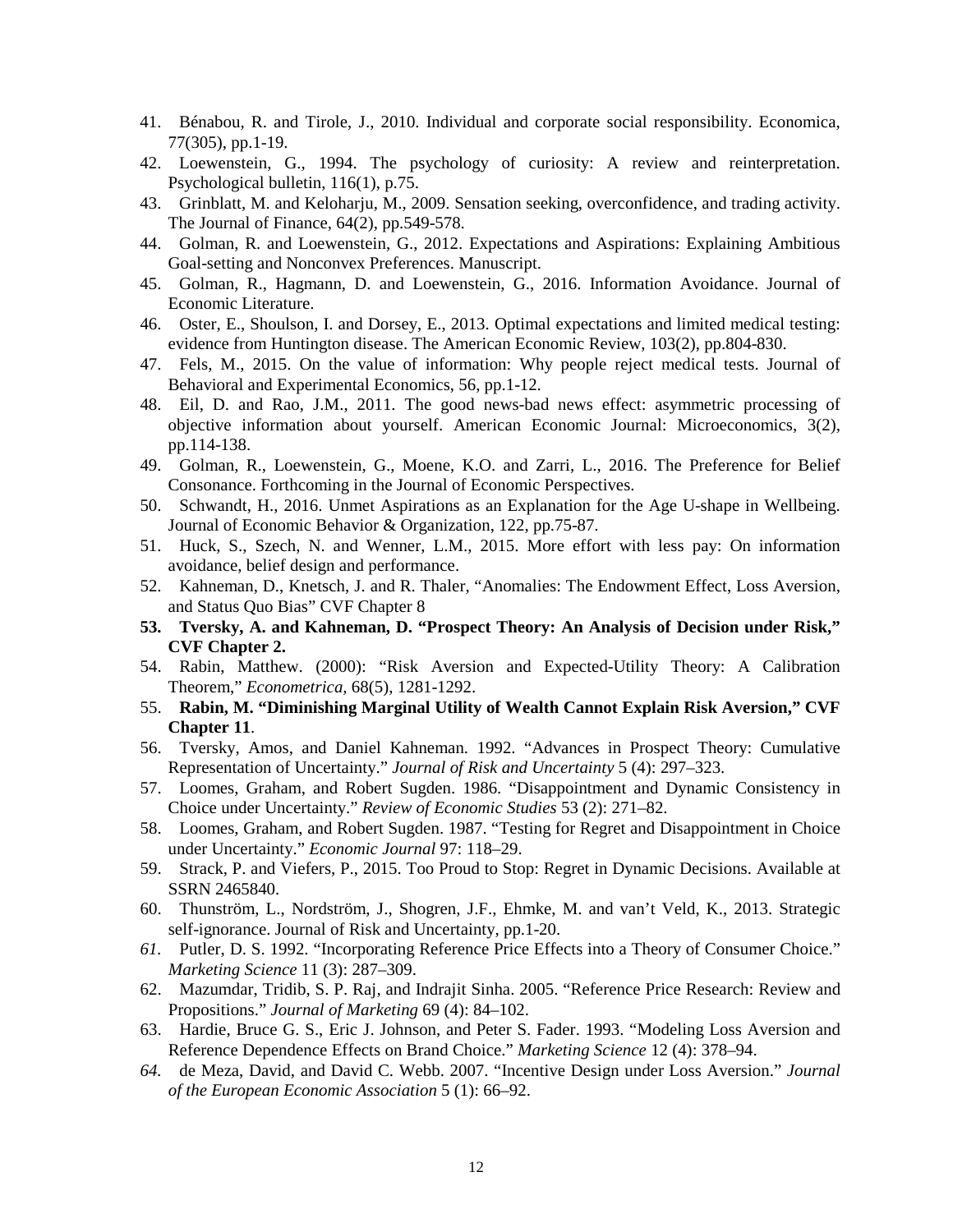- 41. Bénabou, R. and Tirole, J., 2010. Individual and corporate social responsibility. Economica, 77(305), pp.1-19.
- 42. Loewenstein, G., 1994. The psychology of curiosity: A review and reinterpretation. Psychological bulletin, 116(1), p.75.
- 43. Grinblatt, M. and Keloharju, M., 2009. Sensation seeking, overconfidence, and trading activity. The Journal of Finance, 64(2), pp.549-578.
- 44. Golman, R. and Loewenstein, G., 2012. Expectations and Aspirations: Explaining Ambitious Goal-setting and Nonconvex Preferences. Manuscript.
- 45. Golman, R., Hagmann, D. and Loewenstein, G., 2016. Information Avoidance. Journal of Economic Literature.
- 46. Oster, E., Shoulson, I. and Dorsey, E., 2013. Optimal expectations and limited medical testing: evidence from Huntington disease. The American Economic Review, 103(2), pp.804-830.
- 47. Fels, M., 2015. On the value of information: Why people reject medical tests. Journal of Behavioral and Experimental Economics, 56, pp.1-12.
- 48. Eil, D. and Rao, J.M., 2011. The good news-bad news effect: asymmetric processing of objective information about yourself. American Economic Journal: Microeconomics, 3(2), pp.114-138.
- 49. Golman, R., Loewenstein, G., Moene, K.O. and Zarri, L., 2016. The Preference for Belief Consonance. Forthcoming in the Journal of Economic Perspectives.
- 50. Schwandt, H., 2016. Unmet Aspirations as an Explanation for the Age U-shape in Wellbeing. Journal of Economic Behavior & Organization, 122, pp.75-87.
- 51. Huck, S., Szech, N. and Wenner, L.M., 2015. More effort with less pay: On information avoidance, belief design and performance.
- 52. Kahneman, D., Knetsch, J. and R. Thaler, "Anomalies: The Endowment Effect, Loss Aversion, and Status Quo Bias" CVF Chapter 8
- **53. Tversky, A. and Kahneman, D. "Prospect Theory: An Analysis of Decision under Risk," CVF Chapter 2.**
- 54. Rabin, Matthew. (2000): "Risk Aversion and Expected-Utility Theory: A Calibration Theorem," *Econometrica,* 68(5), 1281-1292.
- 55. **Rabin, M. "Diminishing Marginal Utility of Wealth Cannot Explain Risk Aversion," CVF Chapter 11**.
- 56. Tversky, Amos, and Daniel Kahneman. 1992. "Advances in Prospect Theory: Cumulative Representation of Uncertainty." *Journal of Risk and Uncertainty* 5 (4): 297–323.
- 57. Loomes, Graham, and Robert Sugden. 1986. "Disappointment and Dynamic Consistency in Choice under Uncertainty." *Review of Economic Studies* 53 (2): 271–82.
- 58. Loomes, Graham, and Robert Sugden. 1987. "Testing for Regret and Disappointment in Choice under Uncertainty." *Economic Journal* 97: 118–29.
- 59. Strack, P. and Viefers, P., 2015. Too Proud to Stop: Regret in Dynamic Decisions. Available at SSRN 2465840.
- 60. Thunström, L., Nordström, J., Shogren, J.F., Ehmke, M. and van't Veld, K., 2013. Strategic self-ignorance. Journal of Risk and Uncertainty, pp.1-20.
- *61.* Putler, D. S. 1992. "Incorporating Reference Price Effects into a Theory of Consumer Choice." *Marketing Science* 11 (3): 287–309.
- 62. Mazumdar, Tridib, S. P. Raj, and Indrajit Sinha. 2005. "Reference Price Research: Review and Propositions." *Journal of Marketing* 69 (4): 84–102.
- 63. Hardie, Bruce G. S., Eric J. Johnson, and Peter S. Fader. 1993. "Modeling Loss Aversion and Reference Dependence Effects on Brand Choice." *Marketing Science* 12 (4): 378–94.
- *64.* de Meza, David, and David C. Webb. 2007. "Incentive Design under Loss Aversion." *Journal of the European Economic Association* 5 (1): 66–92.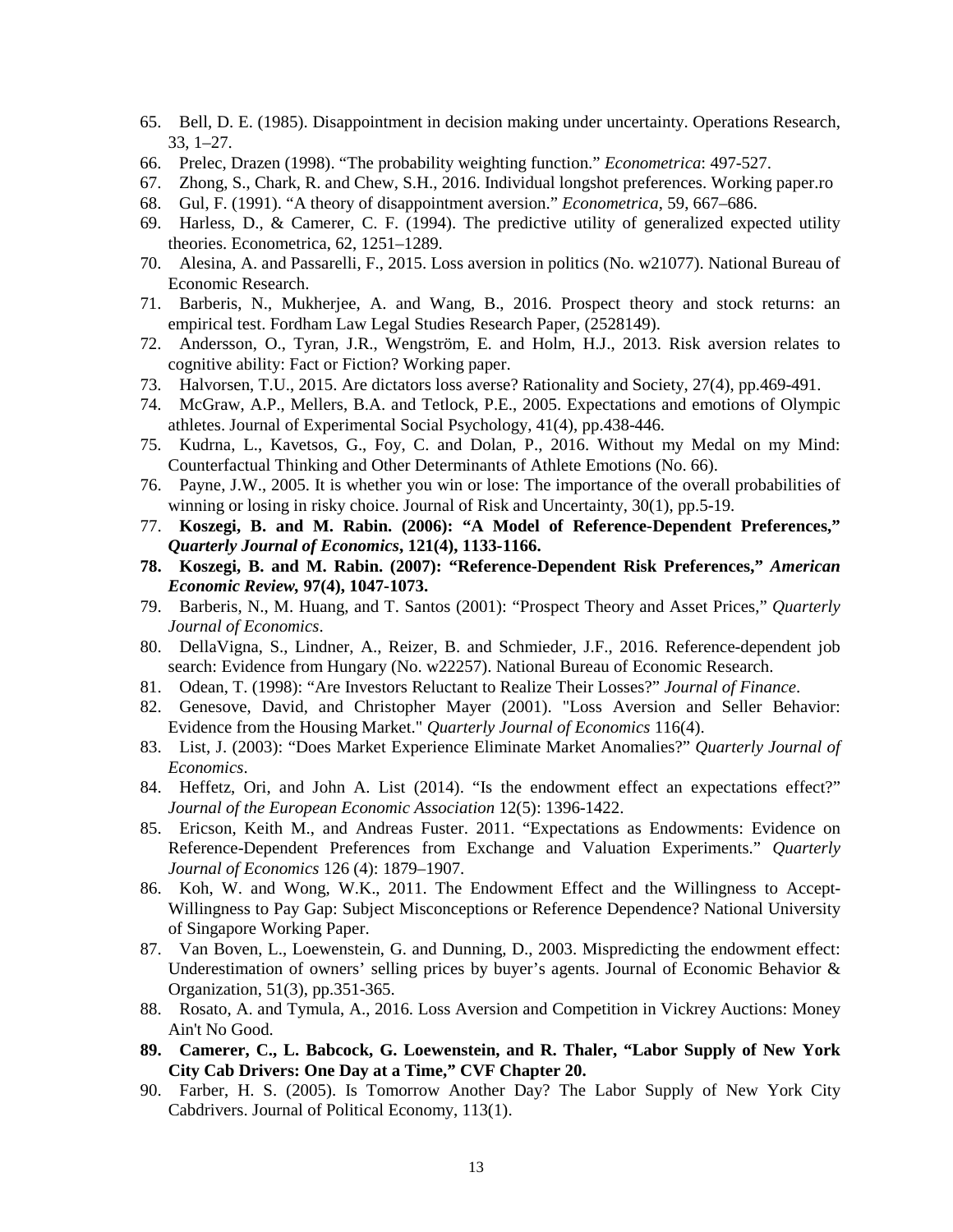- 65. Bell, D. E. (1985). Disappointment in decision making under uncertainty. Operations Research, 33, 1–27.
- 66. Prelec, Drazen (1998). "The probability weighting function." *Econometrica*: 497-527.
- 67. Zhong, S., Chark, R. and Chew, S.H., 2016. Individual longshot preferences. Working paper.ro
- 68. Gul, F. (1991). "A theory of disappointment aversion." *Econometrica*, 59, 667–686.
- 69. Harless, D., & Camerer, C. F. (1994). The predictive utility of generalized expected utility theories. Econometrica, 62, 1251–1289.
- 70. Alesina, A. and Passarelli, F., 2015. Loss aversion in politics (No. w21077). National Bureau of Economic Research.
- 71. Barberis, N., Mukherjee, A. and Wang, B., 2016. Prospect theory and stock returns: an empirical test. Fordham Law Legal Studies Research Paper, (2528149).
- 72. Andersson, O., Tyran, J.R., Wengström, E. and Holm, H.J., 2013. Risk aversion relates to cognitive ability: Fact or Fiction? Working paper.
- 73. Halvorsen, T.U., 2015. Are dictators loss averse? Rationality and Society, 27(4), pp.469-491.
- 74. McGraw, A.P., Mellers, B.A. and Tetlock, P.E., 2005. Expectations and emotions of Olympic athletes. Journal of Experimental Social Psychology, 41(4), pp.438-446.
- 75. Kudrna, L., Kavetsos, G., Foy, C. and Dolan, P., 2016. Without my Medal on my Mind: Counterfactual Thinking and Other Determinants of Athlete Emotions (No. 66).
- 76. Payne, J.W., 2005. It is whether you win or lose: The importance of the overall probabilities of winning or losing in risky choice. Journal of Risk and Uncertainty, 30(1), pp.5-19.
- 77. **Koszegi, B. and M. Rabin. (2006): "A Model of Reference-Dependent Preferences,"**  *Quarterly Journal of Economics***, 121(4), 1133-1166.**
- **78. Koszegi, B. and M. Rabin. (2007): "Reference-Dependent Risk Preferences,"** *American Economic Review,* **97(4), 1047-1073.**
- 79. Barberis, N., M. Huang, and T. Santos (2001): "Prospect Theory and Asset Prices," *Quarterly Journal of Economics*.
- 80. DellaVigna, S., Lindner, A., Reizer, B. and Schmieder, J.F., 2016. Reference-dependent job search: Evidence from Hungary (No. w22257). National Bureau of Economic Research.
- 81. Odean, T. (1998): "Are Investors Reluctant to Realize Their Losses?" *Journal of Finance*.
- 82. Genesove, David, and Christopher Mayer (2001). "Loss Aversion and Seller Behavior: Evidence from the Housing Market." *Quarterly Journal of Economics* 116(4).
- 83. List, J. (2003): "Does Market Experience Eliminate Market Anomalies?" *Quarterly Journal of Economics*.
- 84. Heffetz, Ori, and John A. List (2014). "Is the endowment effect an expectations effect?" *Journal of the European Economic Association* 12(5): 1396-1422.
- 85. Ericson, Keith M., and Andreas Fuster. 2011. "Expectations as Endowments: Evidence on Reference-Dependent Preferences from Exchange and Valuation Experiments." *Quarterly Journal of Economics* 126 (4): 1879–1907.
- 86. Koh, W. and Wong, W.K., 2011. The Endowment Effect and the Willingness to Accept-Willingness to Pay Gap: Subject Misconceptions or Reference Dependence? National University of Singapore Working Paper.
- 87. Van Boven, L., Loewenstein, G. and Dunning, D., 2003. Mispredicting the endowment effect: Underestimation of owners' selling prices by buyer's agents. Journal of Economic Behavior & Organization, 51(3), pp.351-365.
- 88. Rosato, A. and Tymula, A., 2016. Loss Aversion and Competition in Vickrey Auctions: Money Ain't No Good.
- **89. Camerer, C., L. Babcock, G. Loewenstein, and R. Thaler, "Labor Supply of New York City Cab Drivers: One Day at a Time," CVF Chapter 20.**
- 90. Farber, H. S. (2005). Is Tomorrow Another Day? The Labor Supply of New York City Cabdrivers. Journal of Political Economy, 113(1).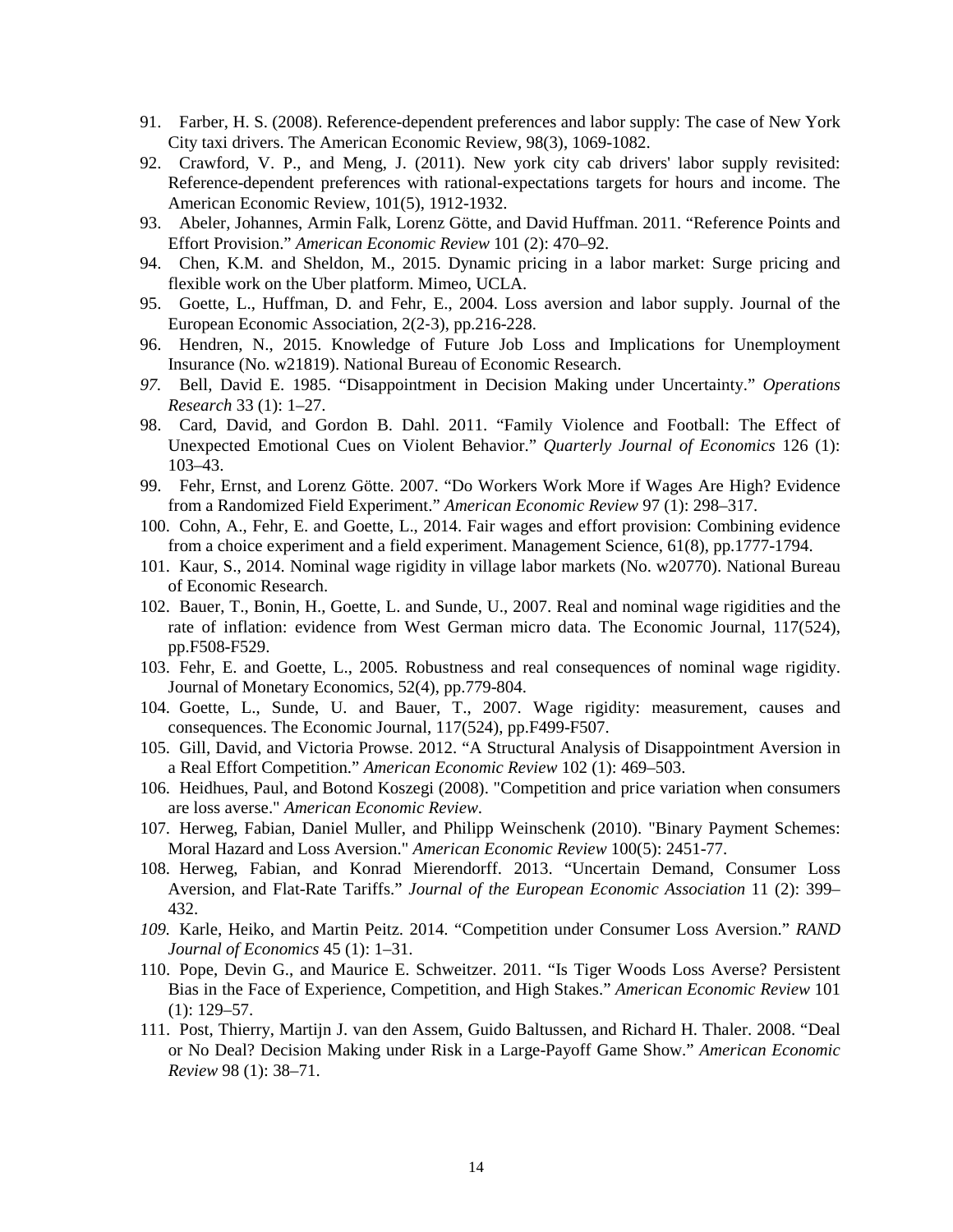- 91. Farber, H. S. (2008). Reference-dependent preferences and labor supply: The case of New York City taxi drivers. The American Economic Review, 98(3), 1069-1082.
- 92. Crawford, V. P., and Meng, J. (2011). New york city cab drivers' labor supply revisited: Reference-dependent preferences with rational-expectations targets for hours and income. The American Economic Review, 101(5), 1912-1932.
- 93. Abeler, Johannes, Armin Falk, Lorenz Götte, and David Huffman. 2011. "Reference Points and Effort Provision." *American Economic Review* 101 (2): 470–92.
- 94. Chen, K.M. and Sheldon, M., 2015. Dynamic pricing in a labor market: Surge pricing and flexible work on the Uber platform. Mimeo, UCLA.
- 95. Goette, L., Huffman, D. and Fehr, E., 2004. Loss aversion and labor supply. Journal of the European Economic Association, 2(2‐3), pp.216-228.
- 96. Hendren, N., 2015. Knowledge of Future Job Loss and Implications for Unemployment Insurance (No. w21819). National Bureau of Economic Research.
- *97.* Bell, David E. 1985. "Disappointment in Decision Making under Uncertainty." *Operations Research* 33 (1): 1–27.
- 98. Card, David, and Gordon B. Dahl. 2011. "Family Violence and Football: The Effect of Unexpected Emotional Cues on Violent Behavior." *Quarterly Journal of Economics* 126 (1): 103–43.
- 99. Fehr, Ernst, and Lorenz Götte. 2007. "Do Workers Work More if Wages Are High? Evidence from a Randomized Field Experiment." *American Economic Review* 97 (1): 298–317.
- 100. Cohn, A., Fehr, E. and Goette, L., 2014. Fair wages and effort provision: Combining evidence from a choice experiment and a field experiment. Management Science, 61(8), pp.1777-1794.
- 101. Kaur, S., 2014. Nominal wage rigidity in village labor markets (No. w20770). National Bureau of Economic Research.
- 102. Bauer, T., Bonin, H., Goette, L. and Sunde, U., 2007. Real and nominal wage rigidities and the rate of inflation: evidence from West German micro data. The Economic Journal, 117(524), pp.F508-F529.
- 103. Fehr, E. and Goette, L., 2005. Robustness and real consequences of nominal wage rigidity. Journal of Monetary Economics, 52(4), pp.779-804.
- 104. Goette, L., Sunde, U. and Bauer, T., 2007. Wage rigidity: measurement, causes and consequences. The Economic Journal, 117(524), pp.F499-F507.
- 105. Gill, David, and Victoria Prowse. 2012. "A Structural Analysis of Disappointment Aversion in a Real Effort Competition." *American Economic Review* 102 (1): 469–503.
- 106. Heidhues, Paul, and Botond Koszegi (2008). "Competition and price variation when consumers are loss averse." *American Economic Review*.
- 107. Herweg, Fabian, Daniel Muller, and Philipp Weinschenk (2010). "Binary Payment Schemes: Moral Hazard and Loss Aversion." *American Economic Review* 100(5): 2451-77.
- 108. Herweg, Fabian, and Konrad Mierendorff. 2013. "Uncertain Demand, Consumer Loss Aversion, and Flat-Rate Tariffs." *Journal of the European Economic Association* 11 (2): 399– 432.
- *109.* Karle, Heiko, and Martin Peitz. 2014. "Competition under Consumer Loss Aversion." *RAND Journal of Economics* 45 (1): 1–31.
- 110. Pope, Devin G., and Maurice E. Schweitzer. 2011. "Is Tiger Woods Loss Averse? Persistent Bias in the Face of Experience, Competition, and High Stakes." *American Economic Review* 101  $(1): 129 - 57.$
- 111. Post, Thierry, Martijn J. van den Assem, Guido Baltussen, and Richard H. Thaler. 2008. "Deal or No Deal? Decision Making under Risk in a Large-Payoff Game Show." *American Economic Review* 98 (1): 38–71.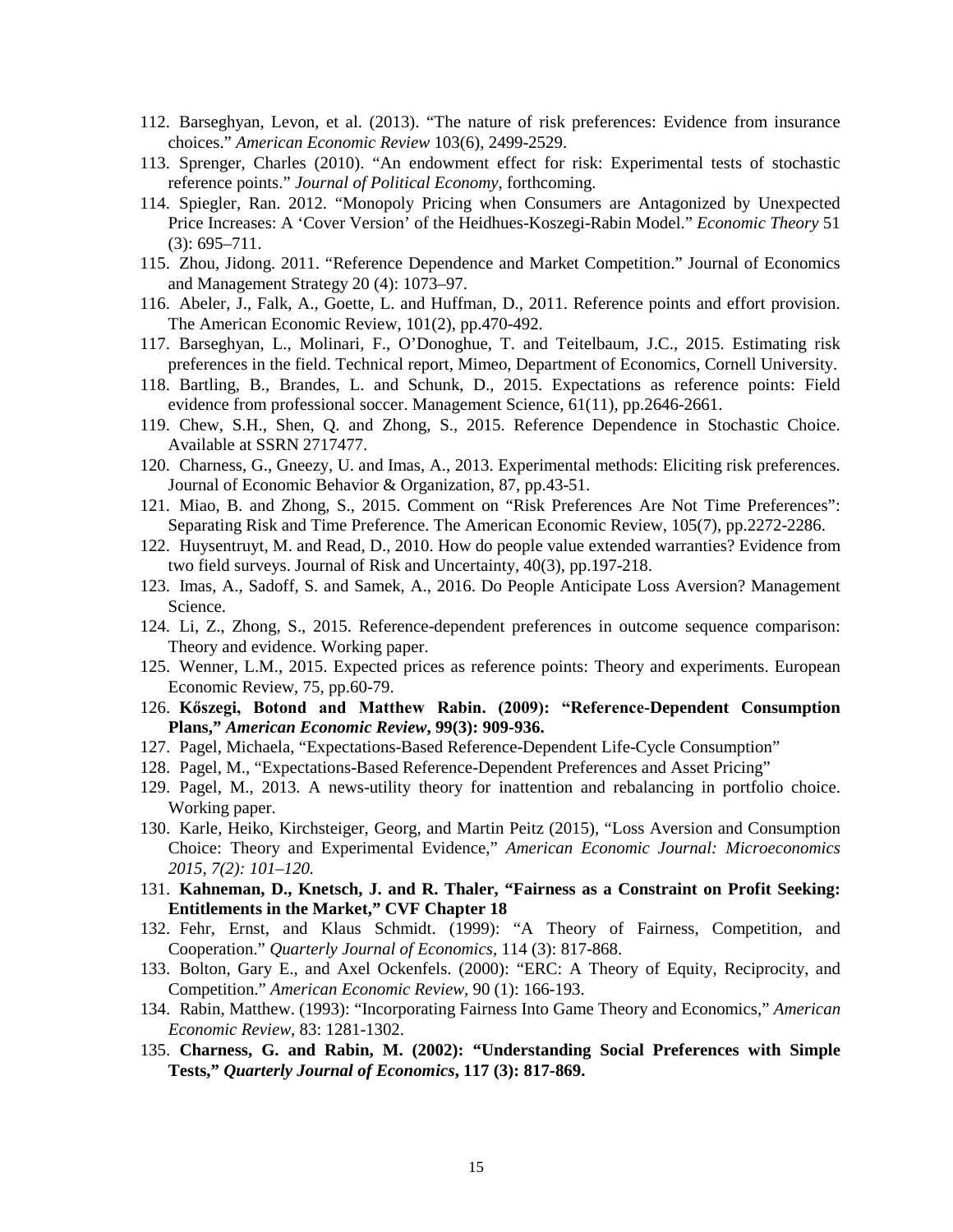- 112. Barseghyan, Levon, et al. (2013). "The nature of risk preferences: Evidence from insurance choices." *American Economic Review* 103(6), 2499-2529.
- 113. Sprenger, Charles (2010). "An endowment effect for risk: Experimental tests of stochastic reference points." *Journal of Political Economy*, forthcoming.
- 114. Spiegler, Ran. 2012. "Monopoly Pricing when Consumers are Antagonized by Unexpected Price Increases: A 'Cover Version' of the Heidhues-Koszegi-Rabin Model." *Economic Theory* 51 (3): 695–711.
- 115. Zhou, Jidong. 2011. "Reference Dependence and Market Competition." Journal of Economics and Management Strategy 20 (4): 1073–97.
- 116. Abeler, J., Falk, A., Goette, L. and Huffman, D., 2011. Reference points and effort provision. The American Economic Review, 101(2), pp.470-492.
- 117. Barseghyan, L., Molinari, F., O'Donoghue, T. and Teitelbaum, J.C., 2015. Estimating risk preferences in the field. Technical report, Mimeo, Department of Economics, Cornell University.
- 118. Bartling, B., Brandes, L. and Schunk, D., 2015. Expectations as reference points: Field evidence from professional soccer. Management Science, 61(11), pp.2646-2661.
- 119. Chew, S.H., Shen, Q. and Zhong, S., 2015. Reference Dependence in Stochastic Choice. Available at SSRN 2717477.
- 120. Charness, G., Gneezy, U. and Imas, A., 2013. Experimental methods: Eliciting risk preferences. Journal of Economic Behavior & Organization, 87, pp.43-51.
- 121. Miao, B. and Zhong, S., 2015. Comment on "Risk Preferences Are Not Time Preferences": Separating Risk and Time Preference. The American Economic Review, 105(7), pp.2272-2286.
- 122. Huysentruyt, M. and Read, D., 2010. How do people value extended warranties? Evidence from two field surveys. Journal of Risk and Uncertainty, 40(3), pp.197-218.
- 123. Imas, A., Sadoff, S. and Samek, A., 2016. Do People Anticipate Loss Aversion? Management Science.
- 124. Li, Z., Zhong, S., 2015. Reference-dependent preferences in outcome sequence comparison: Theory and evidence. Working paper.
- 125. Wenner, L.M., 2015. Expected prices as reference points: Theory and experiments. European Economic Review, 75, pp.60-79.
- 126. **Kőszegi, Botond and Matthew Rabin. (2009): "Reference-Dependent Consumption Plans,"** *American Economic Review***, 99(3): 909-936.**
- 127. Pagel, Michaela, "Expectations-Based Reference-Dependent Life-Cycle Consumption"
- 128. Pagel, M., "Expectations-Based Reference-Dependent Preferences and Asset Pricing"
- 129. Pagel, M., 2013. A news-utility theory for inattention and rebalancing in portfolio choice. Working paper.
- 130. Karle, Heiko, Kirchsteiger, Georg, and Martin Peitz (2015), "Loss Aversion and Consumption Choice: Theory and Experimental Evidence," *American Economic Journal: Microeconomics 2015, 7(2): 101–120.*
- 131. **Kahneman, D., Knetsch, J. and R. Thaler, "Fairness as a Constraint on Profit Seeking: Entitlements in the Market," CVF Chapter 18**
- 132. Fehr, Ernst, and Klaus Schmidt. (1999): "A Theory of Fairness, Competition, and Cooperation." *Quarterly Journal of Economics*, 114 (3): 817-868.
- 133. Bolton, Gary E., and Axel Ockenfels. (2000): "ERC: A Theory of Equity, Reciprocity, and Competition." *American Economic Review,* 90 (1): 166-193.
- 134. Rabin, Matthew. (1993): "Incorporating Fairness Into Game Theory and Economics," *American Economic Review*, 83: 1281-1302.
- 135. **Charness, G. and Rabin, M. (2002): "Understanding Social Preferences with Simple Tests,"** *Quarterly Journal of Economics***, 117 (3): 817-869.**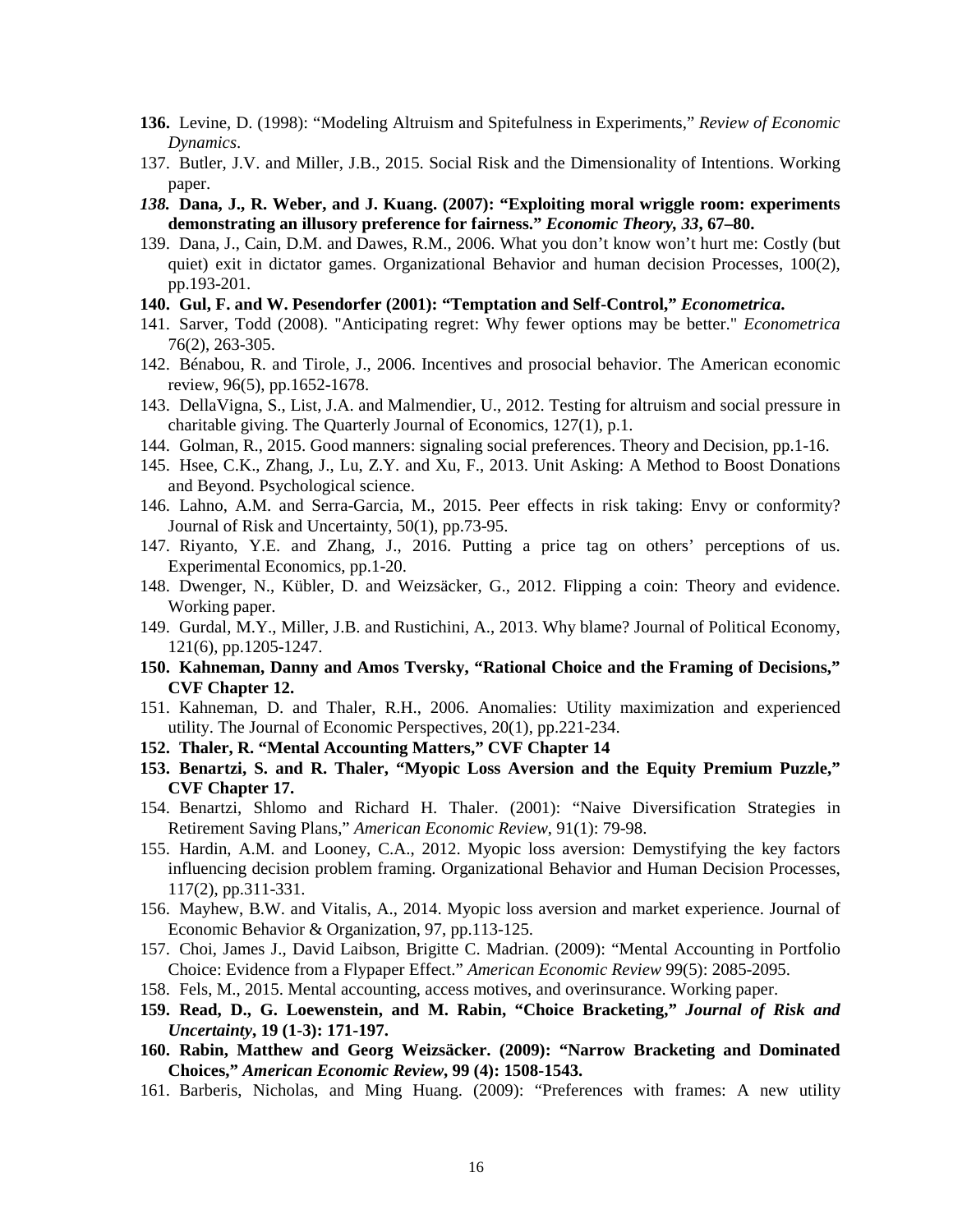- **136.** Levine, D. (1998): "Modeling Altruism and Spitefulness in Experiments," *Review of Economic Dynamics*.
- 137. Butler, J.V. and Miller, J.B., 2015. Social Risk and the Dimensionality of Intentions. Working paper.
- *138.* **Dana, J., R. Weber, and J. Kuang. (2007): "Exploiting moral wriggle room: experiments demonstrating an illusory preference for fairness."** *Economic Theory, 33***, 67–80.**
- 139. Dana, J., Cain, D.M. and Dawes, R.M., 2006. What you don't know won't hurt me: Costly (but quiet) exit in dictator games. Organizational Behavior and human decision Processes, 100(2), pp.193-201.
- **140. Gul, F. and W. Pesendorfer (2001): "Temptation and Self-Control,"** *Econometrica***.**
- 141. Sarver, Todd (2008). "Anticipating regret: Why fewer options may be better." *Econometrica* 76(2), 263-305.
- 142. Bénabou, R. and Tirole, J., 2006. Incentives and prosocial behavior. The American economic review, 96(5), pp.1652-1678.
- 143. DellaVigna, S., List, J.A. and Malmendier, U., 2012. Testing for altruism and social pressure in charitable giving. The Quarterly Journal of Economics, 127(1), p.1.
- 144. Golman, R., 2015. Good manners: signaling social preferences. Theory and Decision, pp.1-16.
- 145. Hsee, C.K., Zhang, J., Lu, Z.Y. and Xu, F., 2013. Unit Asking: A Method to Boost Donations and Beyond. Psychological science.
- 146. Lahno, A.M. and Serra-Garcia, M., 2015. Peer effects in risk taking: Envy or conformity? Journal of Risk and Uncertainty, 50(1), pp.73-95.
- 147. Riyanto, Y.E. and Zhang, J., 2016. Putting a price tag on others' perceptions of us. Experimental Economics, pp.1-20.
- 148. Dwenger, N., Kübler, D. and Weizsäcker, G., 2012. Flipping a coin: Theory and evidence. Working paper.
- 149. Gurdal, M.Y., Miller, J.B. and Rustichini, A., 2013. Why blame? Journal of Political Economy, 121(6), pp.1205-1247.
- **150. Kahneman, Danny and Amos Tversky, "Rational Choice and the Framing of Decisions," CVF Chapter 12.**
- 151. Kahneman, D. and Thaler, R.H., 2006. Anomalies: Utility maximization and experienced utility. The Journal of Economic Perspectives, 20(1), pp.221-234.
- **152. Thaler, R. "Mental Accounting Matters," CVF Chapter 14**
- **153. Benartzi, S. and R. Thaler, "Myopic Loss Aversion and the Equity Premium Puzzle," CVF Chapter 17.**
- 154. Benartzi, Shlomo and Richard H. Thaler. (2001): "Naive Diversification Strategies in Retirement Saving Plans," *American Economic Review*, 91(1): 79-98.
- 155. Hardin, A.M. and Looney, C.A., 2012. Myopic loss aversion: Demystifying the key factors influencing decision problem framing. Organizational Behavior and Human Decision Processes, 117(2), pp.311-331.
- 156. Mayhew, B.W. and Vitalis, A., 2014. Myopic loss aversion and market experience. Journal of Economic Behavior & Organization, 97, pp.113-125.
- 157. Choi, James J., David Laibson, Brigitte C. Madrian. (2009): "Mental Accounting in Portfolio Choice: Evidence from a Flypaper Effect." *American Economic Review* 99(5): 2085-2095.
- 158. Fels, M., 2015. Mental accounting, access motives, and overinsurance. Working paper.
- **159. Read, D., G. Loewenstein, and M. Rabin, "Choice Bracketing,"** *Journal of Risk and Uncertainty***, 19 (1-3): 171-197.**
- **160. Rabin, Matthew and Georg Weizsäcker. (2009): "Narrow Bracketing and Dominated Choices,"** *American Economic Review***, 99 (4): 1508-1543.**
- 161. Barberis, Nicholas, and Ming Huang. (2009): "Preferences with frames: A new utility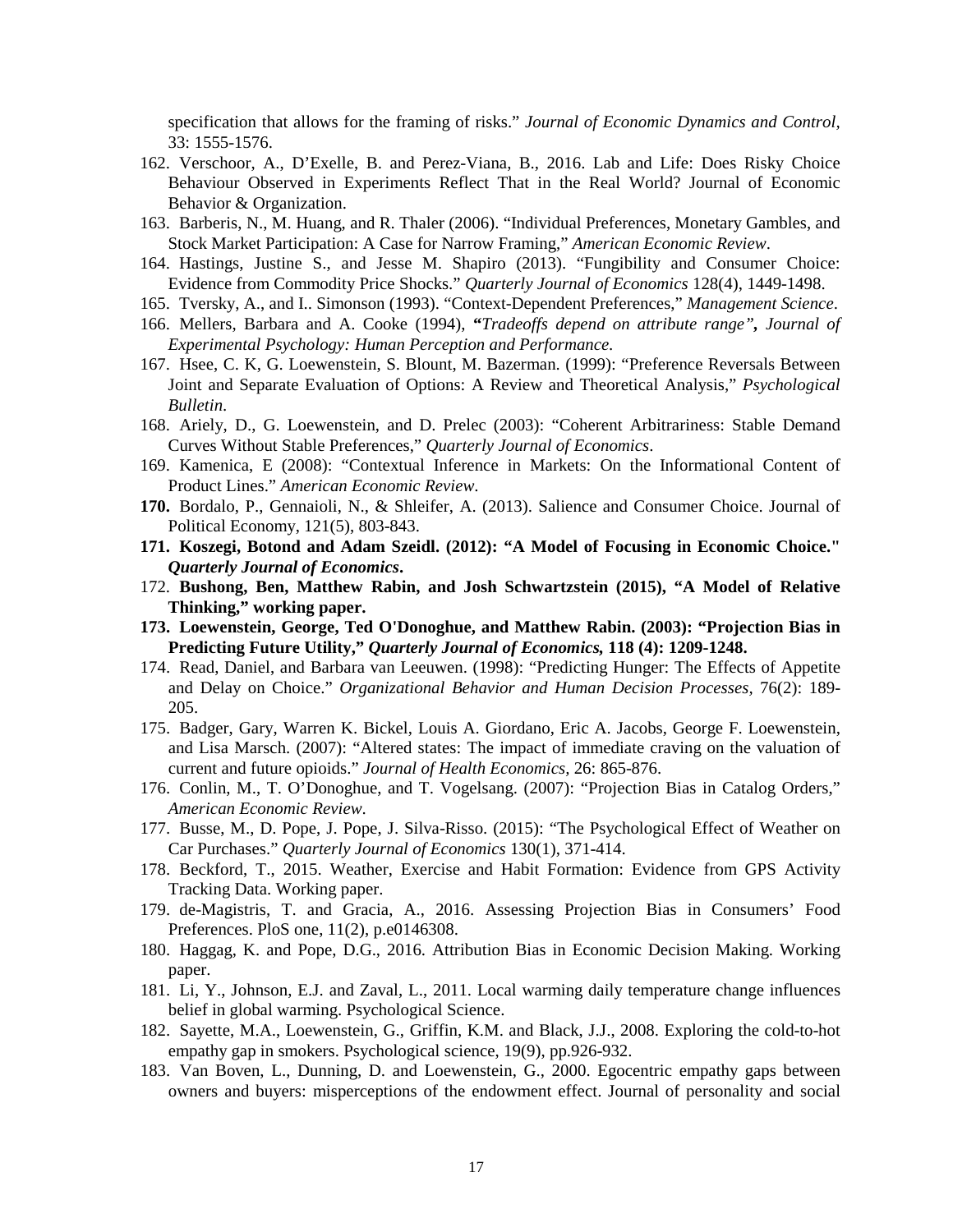specification that allows for the framing of risks." *Journal of Economic Dynamics and Control,* 33: 1555-1576.

- 162. Verschoor, A., D'Exelle, B. and Perez-Viana, B., 2016. Lab and Life: Does Risky Choice Behaviour Observed in Experiments Reflect That in the Real World? Journal of Economic Behavior & Organization.
- 163. Barberis, N., M. Huang, and R. Thaler (2006). "Individual Preferences, Monetary Gambles, and Stock Market Participation: A Case for Narrow Framing," *American Economic Review*.
- 164. Hastings, Justine S., and Jesse M. Shapiro (2013). "Fungibility and Consumer Choice: Evidence from Commodity Price Shocks." *Quarterly Journal of Economics* 128(4), 1449-1498.
- 165. Tversky, A., and I.. Simonson (1993). "Context-Dependent Preferences," *Management Science*.
- 166. Mellers, Barbara and A. Cooke (1994), **"***Tradeoffs depend on attribute range", Journal of Experimental Psychology: Human Perception and Performance.*
- 167. Hsee, C. K, G. Loewenstein, S. Blount, M. Bazerman. (1999): "Preference Reversals Between Joint and Separate Evaluation of Options: A Review and Theoretical Analysis," *Psychological Bulletin*.
- 168. Ariely, D., G. Loewenstein, and D. Prelec (2003): "Coherent Arbitrariness: Stable Demand Curves Without Stable Preferences," *Quarterly Journal of Economics*.
- 169. Kamenica, E (2008): "Contextual Inference in Markets: On the Informational Content of Product Lines." *American Economic Review*.
- **170.** Bordalo, P., Gennaioli, N., & Shleifer, A. (2013). Salience and Consumer Choice. Journal of Political Economy, 121(5), 803-843.
- **171. Koszegi, Botond and Adam Szeidl. (2012): "A Model of Focusing in Economic Choice."**  *Quarterly Journal of Economics***.**
- 172. **Bushong, Ben, Matthew Rabin, and Josh Schwartzstein (2015), "A Model of Relative Thinking," working paper.**
- **173. Loewenstein, George, Ted O'Donoghue, and Matthew Rabin. (2003): "Projection Bias in Predicting Future Utility,"** *Quarterly Journal of Economics,* **118 (4): 1209-1248.**
- 174. Read, Daniel, and Barbara van Leeuwen. (1998): "Predicting Hunger: The Effects of Appetite and Delay on Choice." *Organizational Behavior and Human Decision Processes,* 76(2): 189- 205.
- 175. Badger, Gary, Warren K. Bickel, Louis A. Giordano, Eric A. Jacobs, George F. Loewenstein, and Lisa Marsch. (2007): "Altered states: The impact of immediate craving on the valuation of current and future opioids." *Journal of Health Economics,* 26: 865-876.
- 176. Conlin, M., T. O'Donoghue, and T. Vogelsang. (2007): "Projection Bias in Catalog Orders," *American Economic Review*.
- 177. Busse, M., D. Pope, J. Pope, J. Silva-Risso. (2015): "The Psychological Effect of Weather on Car Purchases." *Quarterly Journal of Economics* 130(1), 371-414.
- 178. Beckford, T., 2015. Weather, Exercise and Habit Formation: Evidence from GPS Activity Tracking Data. Working paper.
- 179. de-Magistris, T. and Gracia, A., 2016. Assessing Projection Bias in Consumers' Food Preferences. PloS one, 11(2), p.e0146308.
- 180. Haggag, K. and Pope, D.G., 2016. Attribution Bias in Economic Decision Making. Working paper.
- 181. Li, Y., Johnson, E.J. and Zaval, L., 2011. Local warming daily temperature change influences belief in global warming. Psychological Science.
- 182. Sayette, M.A., Loewenstein, G., Griffin, K.M. and Black, J.J., 2008. Exploring the cold-to-hot empathy gap in smokers. Psychological science, 19(9), pp.926-932.
- 183. Van Boven, L., Dunning, D. and Loewenstein, G., 2000. Egocentric empathy gaps between owners and buyers: misperceptions of the endowment effect. Journal of personality and social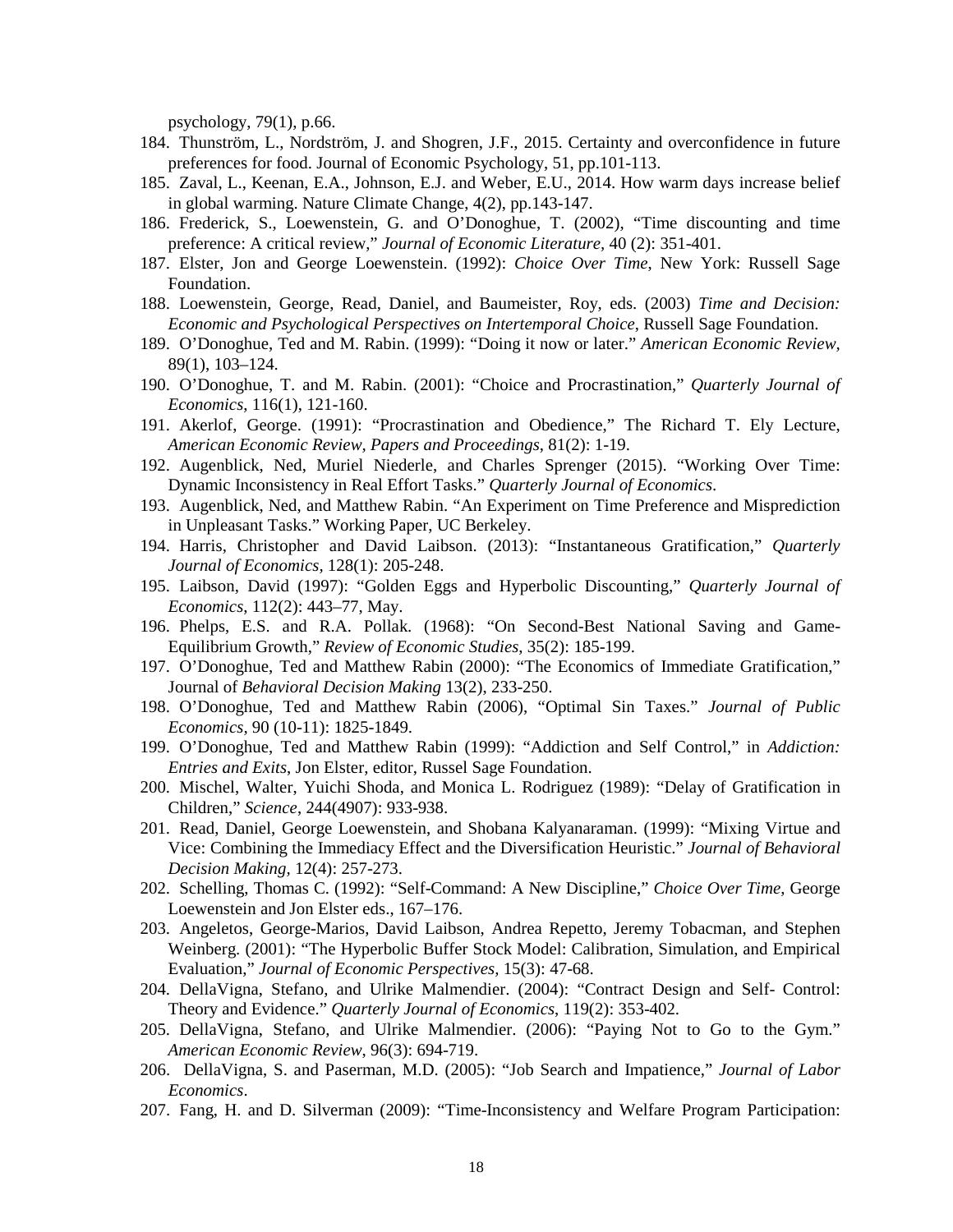psychology, 79(1), p.66.

- 184. Thunström, L., Nordström, J. and Shogren, J.F., 2015. Certainty and overconfidence in future preferences for food. Journal of Economic Psychology, 51, pp.101-113.
- 185. Zaval, L., Keenan, E.A., Johnson, E.J. and Weber, E.U., 2014. How warm days increase belief in global warming. Nature Climate Change, 4(2), pp.143-147.
- 186. Frederick, S., Loewenstein, G. and O'Donoghue, T. (2002), "Time discounting and time preference: A critical review," *Journal of Economic Literature,* 40 (2): 351-401.
- 187. Elster, Jon and George Loewenstein. (1992): *Choice Over Time*, New York: Russell Sage Foundation.
- 188. Loewenstein, George, Read, Daniel, and Baumeister, Roy, eds. (2003) *Time and Decision: Economic and Psychological Perspectives on Intertemporal Choice*, Russell Sage Foundation.
- 189. O'Donoghue, Ted and M. Rabin. (1999): "Doing it now or later." *American Economic Review,* 89(1), 103–124.
- 190. O'Donoghue, T. and M. Rabin. (2001): "Choice and Procrastination," *Quarterly Journal of Economics*, 116(1), 121-160.
- 191. Akerlof, George. (1991): "Procrastination and Obedience," The Richard T. Ely Lecture, *American Economic Review, Papers and Proceedings*, 81(2): 1-19.
- 192. Augenblick, Ned, Muriel Niederle, and Charles Sprenger (2015). "Working Over Time: Dynamic Inconsistency in Real Effort Tasks." *Quarterly Journal of Economics*.
- 193. Augenblick, Ned, and Matthew Rabin. "An Experiment on Time Preference and Misprediction in Unpleasant Tasks." Working Paper, UC Berkeley.
- 194. Harris, Christopher and David Laibson. (2013): "Instantaneous Gratification," *Quarterly Journal of Economics,* 128(1): 205-248.
- 195. Laibson, David (1997): "Golden Eggs and Hyperbolic Discounting," *Quarterly Journal of Economics*, 112(2): 443–77, May.
- 196. Phelps, E.S. and R.A. Pollak. (1968): "On Second-Best National Saving and Game-Equilibrium Growth," *Review of Economic Studies*, 35(2): 185-199.
- 197. O'Donoghue, Ted and Matthew Rabin (2000): ["The Economics of Immediate Gratification,](http://www3.interscience.wiley.com/cgi-bin/fulltext/71004337/PDFSTART)" Journal of *Behavioral Decision Making* 13(2), 233-250.
- 198. O'Donoghue, Ted and Matthew Rabin (2006), "Optimal Sin Taxes." *Journal of Public Economics,* 90 (10-11): 1825-1849.
- 199. O'Donoghue, Ted and Matthew Rabin (1999): ["Addiction and Self Control,](http://elsa.berkeley.edu/~rabin/addiction_self-control_rabin.pdf)" in *Addiction: Entries and Exits*, Jon Elster, editor, Russel Sage Foundation.
- 200. Mischel, Walter, Yuichi Shoda, and Monica L. Rodriguez (1989): "Delay of Gratification in Children," *Science*, 244(4907): 933-938.
- 201. Read, Daniel, George Loewenstein, and Shobana Kalyanaraman. (1999): "Mixing Virtue and Vice: Combining the Immediacy Effect and the Diversification Heuristic." *Journal of Behavioral Decision Making,* 12(4): 257-273.
- 202. Schelling, Thomas C. (1992): "Self-Command: A New Discipline," *Choice Over Time*, George Loewenstein and Jon Elster eds., 167–176.
- 203. Angeletos, George-Marios, David Laibson, Andrea Repetto, Jeremy Tobacman, and Stephen Weinberg. (2001): "The Hyperbolic Buffer Stock Model: Calibration, Simulation, and Empirical Evaluation," *Journal of Economic Perspectives,* 15(3): 47-68.
- 204. DellaVigna, Stefano, and Ulrike Malmendier. (2004): "Contract Design and Self- Control: Theory and Evidence." *Quarterly Journal of Economics*, 119(2): 353-402.
- 205. DellaVigna, Stefano, and Ulrike Malmendier. (2006): "Paying Not to Go to the Gym." *American Economic Review*, 96(3): 694-719.
- 206. DellaVigna, S. and Paserman, M.D. (2005): "Job Search and Impatience," *Journal of Labor Economics*.
- 207. Fang, H. and D. Silverman (2009): "Time-Inconsistency and Welfare Program Participation: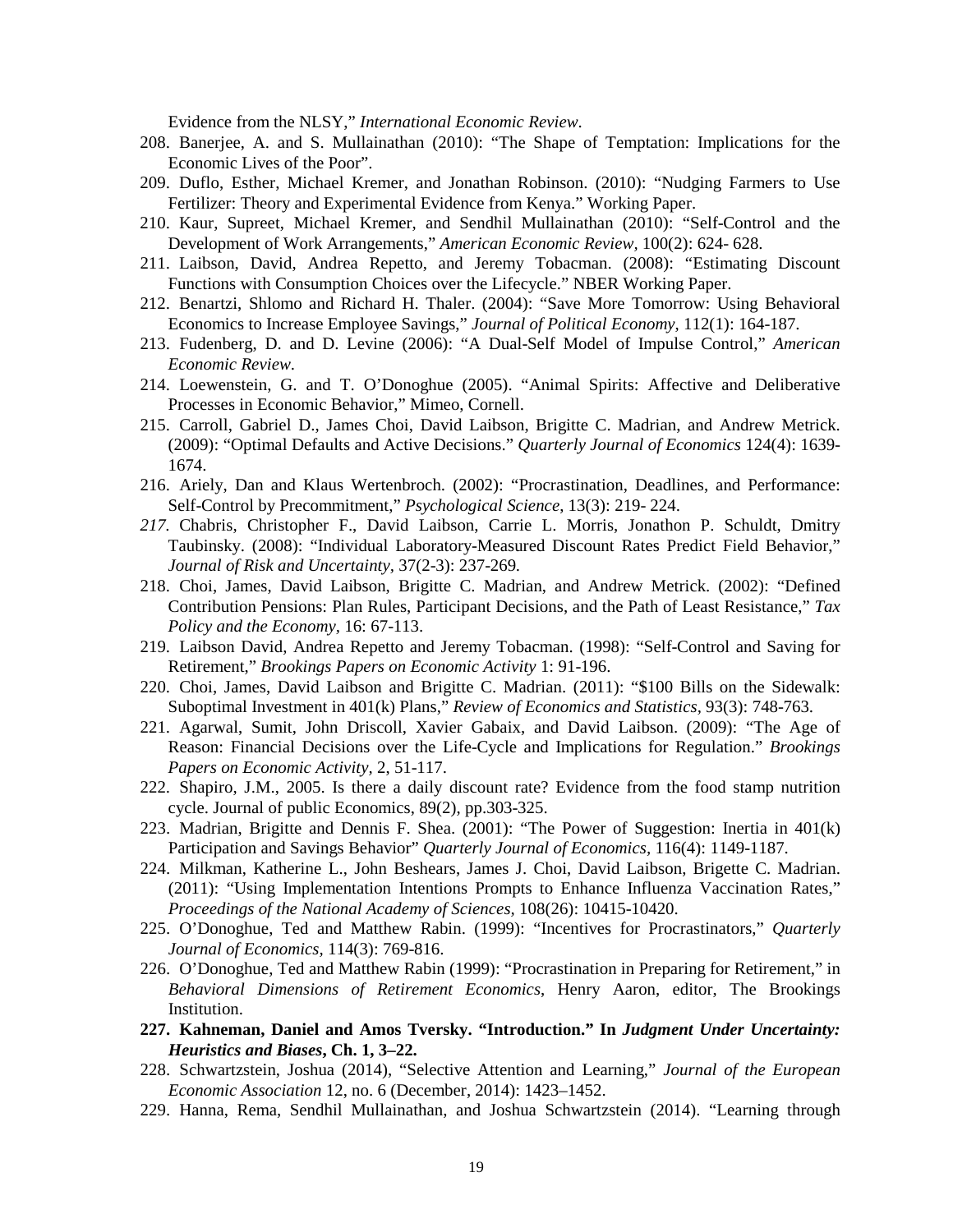Evidence from the NLSY," *International Economic Review*.

- 208. Banerjee, A. and S. Mullainathan (2010): "The Shape of Temptation: Implications for the Economic Lives of the Poor".
- 209. Duflo, Esther, Michael Kremer, and Jonathan Robinson. (2010): "Nudging Farmers to Use Fertilizer: Theory and Experimental Evidence from Kenya." Working Paper.
- 210. Kaur, Supreet, Michael Kremer, and Sendhil Mullainathan (2010): "Self-Control and the Development of Work Arrangements," *American Economic Review,* 100(2): 624- 628.
- 211. Laibson, David, Andrea Repetto, and Jeremy Tobacman. (2008): "Estimating Discount Functions with Consumption Choices over the Lifecycle." NBER Working Paper.
- 212. Benartzi, Shlomo and Richard H. Thaler. (2004): "Save More Tomorrow: Using Behavioral Economics to Increase Employee Savings," *Journal of Political Economy*, 112(1): 164-187.
- 213. Fudenberg, D. and D. Levine (2006): "A Dual-Self Model of Impulse Control," *American Economic Review*.
- 214. Loewenstein, G. and T. O'Donoghue (2005). "Animal Spirits: Affective and Deliberative Processes in Economic Behavior," Mimeo, Cornell.
- 215. Carroll, Gabriel D., James Choi, David Laibson, Brigitte C. Madrian, and Andrew Metrick. (2009): "Optimal Defaults and Active Decisions." *Quarterly Journal of Economics* 124(4): 1639- 1674.
- 216. Ariely, Dan and Klaus Wertenbroch. (2002): "Procrastination, Deadlines, and Performance: Self-Control by Precommitment," *Psychological Science*, 13(3): 219- 224.
- *217.* Chabris, Christopher F., David Laibson, Carrie L. Morris, Jonathon P. Schuldt, Dmitry Taubinsky. (2008): "Individual Laboratory-Measured Discount Rates Predict Field Behavior," *Journal of Risk and Uncertainty,* 37(2-3): 237-269*.*
- 218. Choi, James, David Laibson, Brigitte C. Madrian, and Andrew Metrick. (2002): "Defined Contribution Pensions: Plan Rules, Participant Decisions, and the Path of Least Resistance," *Tax Policy and the Economy,* 16: 67-113.
- 219. Laibson David, Andrea Repetto and Jeremy Tobacman. (1998): "Self-Control and Saving for Retirement," *Brookings Papers on Economic Activity* 1: 91-196.
- 220. Choi, James, David Laibson and Brigitte C. Madrian. (2011): "\$100 Bills on the Sidewalk: Suboptimal Investment in 401(k) Plans," *Review of Economics and Statistics,* 93(3): 748-763.
- 221. Agarwal, Sumit, John Driscoll, Xavier Gabaix, and David Laibson. (2009): "The Age of Reason: Financial Decisions over the Life-Cycle and Implications for Regulation." *Brookings Papers on Economic Activity,* 2, 51-117.
- 222. Shapiro, J.M., 2005. Is there a daily discount rate? Evidence from the food stamp nutrition cycle. Journal of public Economics, 89(2), pp.303-325.
- 223. Madrian, Brigitte and Dennis F. Shea. (2001): "The Power of Suggestion: Inertia in 401(k) Participation and Savings Behavior" *Quarterly Journal of Economics,* 116(4): 1149-1187.
- 224. Milkman, Katherine L., John Beshears, James J. Choi, David Laibson, Brigette C. Madrian. (2011): "Using Implementation Intentions Prompts to Enhance Influenza Vaccination Rates," *Proceedings of the National Academy of Sciences,* 108(26): 10415-10420.
- 225. O'Donoghue, Ted and Matthew Rabin. (1999): "Incentives for Procrastinators," *Quarterly Journal of Economics,* 114(3): 769-816.
- 226. O'Donoghue, Ted and Matthew Rabin (1999): ["Procrastination in Preparing for Retirement,](http://brookings.nap.edu/books/0815700636/html/125.html)" in *Behavioral Dimensions of Retirement Economics*, Henry Aaron, editor, The Brookings Institution.
- **227. Kahneman, Daniel and Amos Tversky. "Introduction." In** *Judgment Under Uncertainty: Heuristics and Biases***, Ch. 1, 3–22.**
- 228. Schwartzstein, Joshua (2014), "Selective Attention and Learning," *Journal of the European Economic Association* 12, no. 6 (December, 2014): 1423–1452.
- 229. Hanna, Rema, Sendhil Mullainathan, and Joshua Schwartzstein (2014). "Learning through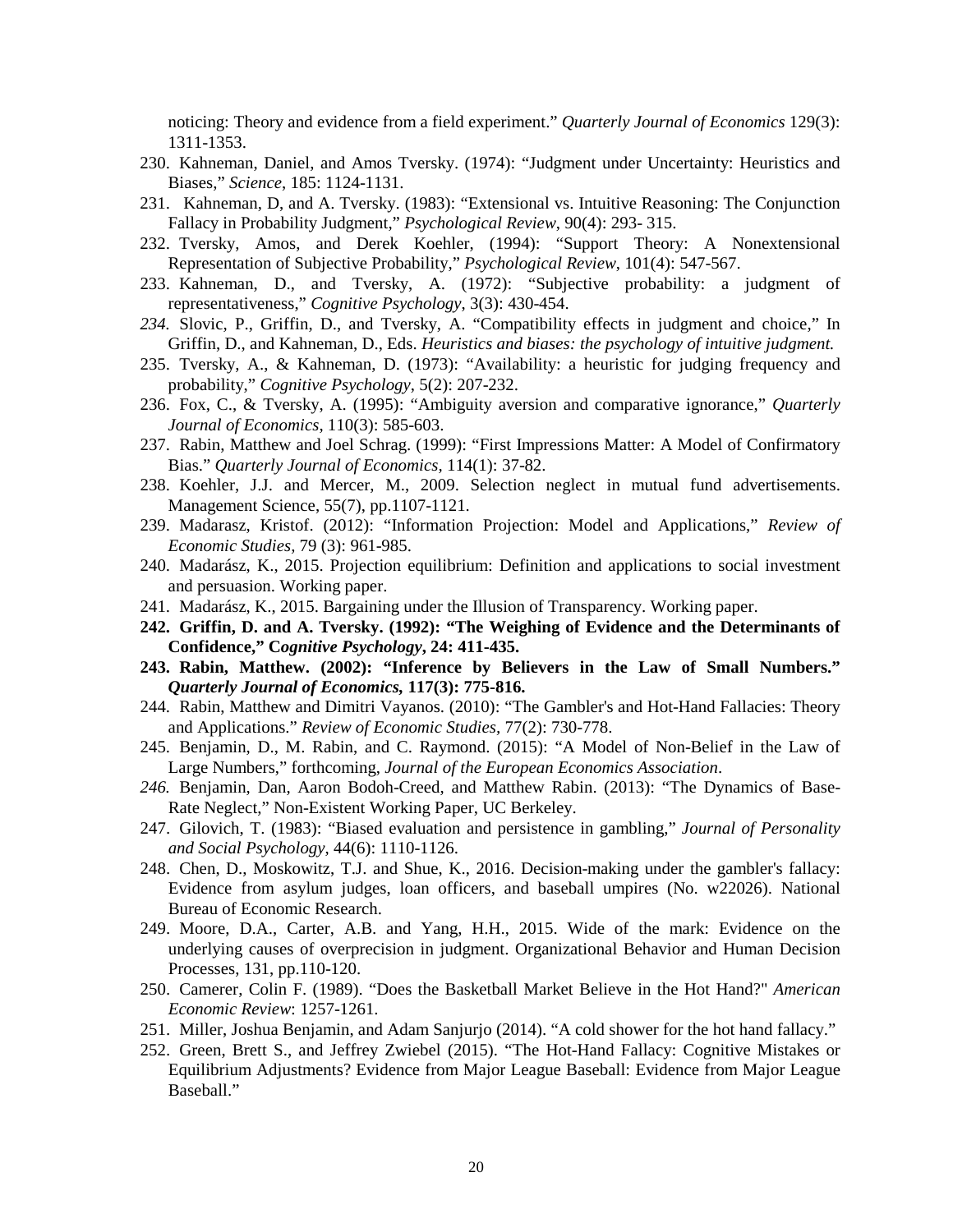noticing: Theory and evidence from a field experiment." *Quarterly Journal of Economics* 129(3): 1311-1353.

- 230. Kahneman, Daniel, and Amos Tversky. (1974): "Judgment under Uncertainty: Heuristics and Biases," *Science*, 185: 1124-1131.
- 231. Kahneman, D, and A. Tversky. (1983): "Extensional vs. Intuitive Reasoning: The Conjunction Fallacy in Probability Judgment," *Psychological Review*, 90(4): 293- 315.
- 232. Tversky, Amos, and Derek Koehler, (1994): "Support Theory: A Nonextensional Representation of Subjective Probability," *Psychological Review*, 101(4): 547-567.
- 233. Kahneman, D., and Tversky, A. (1972): "Subjective probability: a judgment of representativeness," *Cognitive Psychology*, 3(3): 430-454.
- *234.* Slovic, P., Griffin, D., and Tversky, A. "Compatibility effects in judgment and choice," In Griffin, D., and Kahneman, D., Eds. *Heuristics and biases: the psychology of intuitive judgment.*
- 235. Tversky, A., & Kahneman, D. (1973): "Availability: a heuristic for judging frequency and probability," *Cognitive Psychology*, 5(2): 207-232.
- 236. Fox, C., & Tversky, A. (1995): "Ambiguity aversion and comparative ignorance," *Quarterly Journal of Economics*, 110(3): 585-603.
- 237. Rabin, Matthew and Joel Schrag. (1999): "First Impressions Matter: A Model of Confirmatory Bias." *Quarterly Journal of Economics,* 114(1): 37-82.
- 238. Koehler, J.J. and Mercer, M., 2009. Selection neglect in mutual fund advertisements. Management Science, 55(7), pp.1107-1121.
- 239. Madarasz, Kristof. (2012): "Information Projection: Model and Applications," *Review of Economic Studies,* 79 (3): 961-985.
- 240. Madarász, K., 2015. Projection equilibrium: Definition and applications to social investment and persuasion. Working paper.
- 241. Madarász, K., 2015. Bargaining under the Illusion of Transparency. Working paper.
- **242. Griffin, D. and A. Tversky. (1992): "The Weighing of Evidence and the Determinants of Confidence," C***ognitive Psychology***, 24: 411-435.**
- **243. Rabin, Matthew. (2002): "Inference by Believers in the Law of Small Numbers."**  *Quarterly Journal of Economics,* **117(3): 775-816.**
- 244. Rabin, Matthew and Dimitri Vayanos. (2010): "The Gambler's and Hot-Hand Fallacies: Theory and Applications." *Review of Economic Studies,* 77(2): 730-778.
- 245. Benjamin, D., M. Rabin, and C. Raymond. (2015): "A Model of Non-Belief in the Law of Large Numbers," forthcoming, *Journal of the European Economics Association*.
- *246.* Benjamin, Dan, Aaron Bodoh-Creed, and Matthew Rabin. (2013): "The Dynamics of Base-Rate Neglect," Non-Existent Working Paper, UC Berkeley.
- 247. Gilovich, T. (1983): "Biased evaluation and persistence in gambling," *Journal of Personality and Social Psychology*, 44(6): 1110-1126.
- 248. Chen, D., Moskowitz, T.J. and Shue, K., 2016. Decision-making under the gambler's fallacy: Evidence from asylum judges, loan officers, and baseball umpires (No. w22026). National Bureau of Economic Research.
- 249. Moore, D.A., Carter, A.B. and Yang, H.H., 2015. Wide of the mark: Evidence on the underlying causes of overprecision in judgment. Organizational Behavior and Human Decision Processes, 131, pp.110-120.
- 250. Camerer, Colin F. (1989). "Does the Basketball Market Believe in the Hot Hand?" *American Economic Review*: 1257-1261.
- 251. Miller, Joshua Benjamin, and Adam Sanjurjo (2014). "A cold shower for the hot hand fallacy."
- 252. Green, Brett S., and Jeffrey Zwiebel (2015). "The Hot-Hand Fallacy: Cognitive Mistakes or Equilibrium Adjustments? Evidence from Major League Baseball: Evidence from Major League Baseball."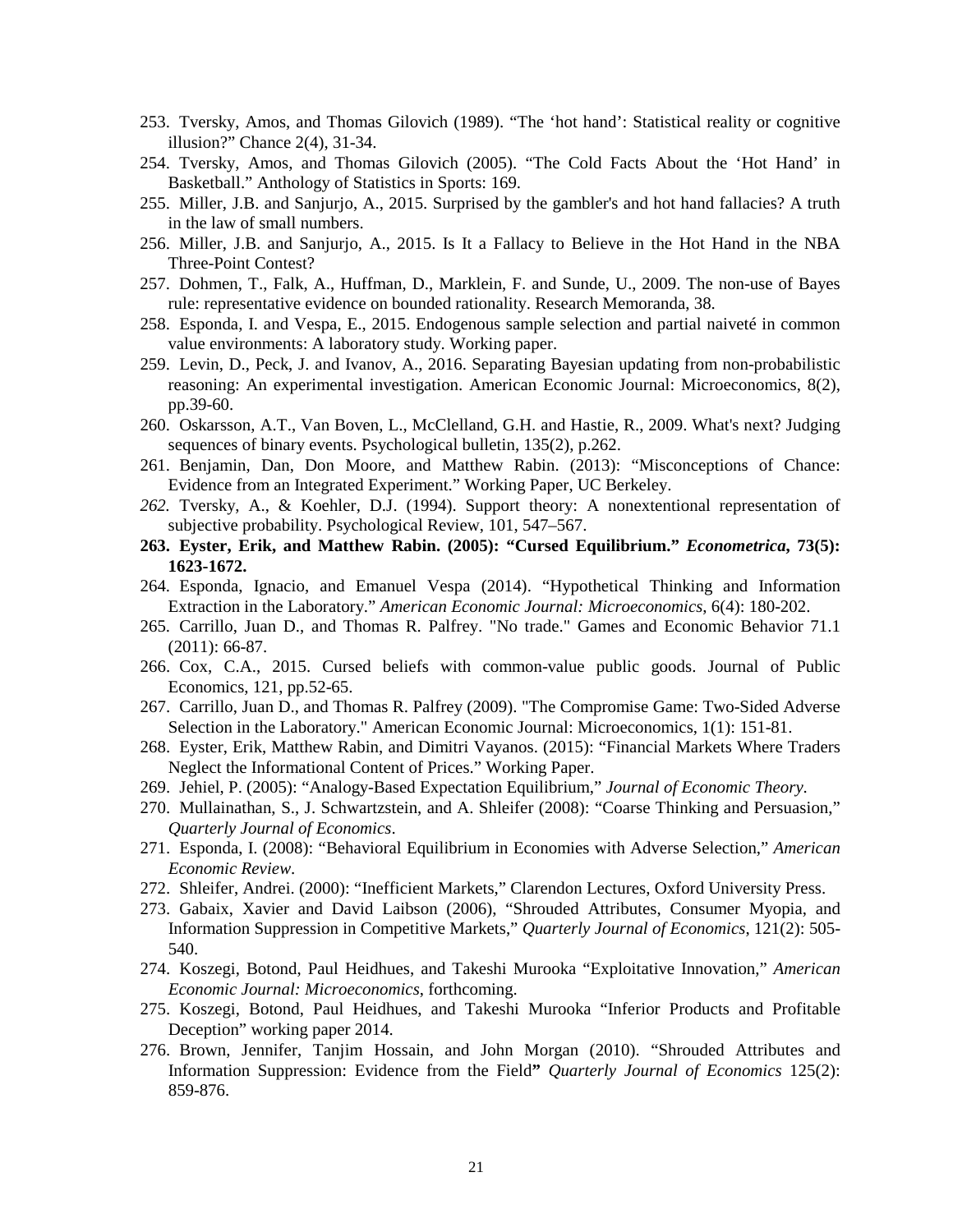- 253. Tversky, Amos, and Thomas Gilovich (1989). "The 'hot hand': Statistical reality or cognitive illusion?" Chance 2(4), 31-34.
- 254. Tversky, Amos, and Thomas Gilovich (2005). "The Cold Facts About the 'Hot Hand' in Basketball." Anthology of Statistics in Sports: 169.
- 255. Miller, J.B. and Sanjurjo, A., 2015. Surprised by the gambler's and hot hand fallacies? A truth in the law of small numbers.
- 256. Miller, J.B. and Sanjurjo, A., 2015. Is It a Fallacy to Believe in the Hot Hand in the NBA Three-Point Contest?
- 257. Dohmen, T., Falk, A., Huffman, D., Marklein, F. and Sunde, U., 2009. The non-use of Bayes rule: representative evidence on bounded rationality. Research Memoranda, 38.
- 258. Esponda, I. and Vespa, E., 2015. Endogenous sample selection and partial naiveté in common value environments: A laboratory study. Working paper.
- 259. Levin, D., Peck, J. and Ivanov, A., 2016. Separating Bayesian updating from non-probabilistic reasoning: An experimental investigation. American Economic Journal: Microeconomics, 8(2), pp.39-60.
- 260. Oskarsson, A.T., Van Boven, L., McClelland, G.H. and Hastie, R., 2009. What's next? Judging sequences of binary events. Psychological bulletin, 135(2), p.262.
- 261. Benjamin, Dan, Don Moore, and Matthew Rabin. (2013): "Misconceptions of Chance: Evidence from an Integrated Experiment." Working Paper, UC Berkeley.
- *262.* Tversky, A., & Koehler, D.J. (1994). Support theory: A nonextentional representation of subjective probability. Psychological Review, 101, 547–567.
- **263. Eyster, Erik, and Matthew Rabin. (2005): "Cursed Equilibrium."** *Econometrica***, 73(5): 1623-1672.**
- 264. Esponda, Ignacio, and Emanuel Vespa (2014). "Hypothetical Thinking and Information Extraction in the Laboratory." *American Economic Journal: Microeconomics*, 6(4): 180-202.
- 265. Carrillo, Juan D., and Thomas R. Palfrey. "No trade." Games and Economic Behavior 71.1 (2011): 66-87.
- 266. Cox, C.A., 2015. Cursed beliefs with common-value public goods. Journal of Public Economics, 121, pp.52-65.
- 267. Carrillo, Juan D., and Thomas R. Palfrey (2009). "The Compromise Game: Two-Sided Adverse Selection in the Laboratory." American Economic Journal: Microeconomics, 1(1): 151-81.
- 268. Eyster, Erik, Matthew Rabin, and Dimitri Vayanos. (2015): "Financial Markets Where Traders Neglect the Informational Content of Prices." Working Paper.
- 269. Jehiel, P. (2005): "Analogy-Based Expectation Equilibrium," *Journal of Economic Theory*.
- 270. Mullainathan, S., J. Schwartzstein, and A. Shleifer (2008): "Coarse Thinking and Persuasion," *Quarterly Journal of Economics*.
- 271. Esponda, I. (2008): "Behavioral Equilibrium in Economies with Adverse Selection," *American Economic Review*.
- 272. Shleifer, Andrei. (2000): "Inefficient Markets," Clarendon Lectures, Oxford University Press.
- 273. Gabaix, Xavier and David Laibson (2006), "Shrouded Attributes, Consumer Myopia, and Information Suppression in Competitive Markets," *Quarterly Journal of Economics*, 121(2): 505- 540.
- 274. Koszegi, Botond, Paul Heidhues, and Takeshi Murooka "Exploitative Innovation," *American Economic Journal: Microeconomics*, forthcoming.
- 275. Koszegi, Botond, Paul Heidhues, and Takeshi Murooka "Inferior Products and Profitable Deception" working paper 2014.
- 276. Brown, Jennifer, Tanjim Hossain, and John Morgan (2010). "Shrouded Attributes and Information Suppression: Evidence from the Field**"** *Quarterly Journal of Economics* 125(2): 859-876.